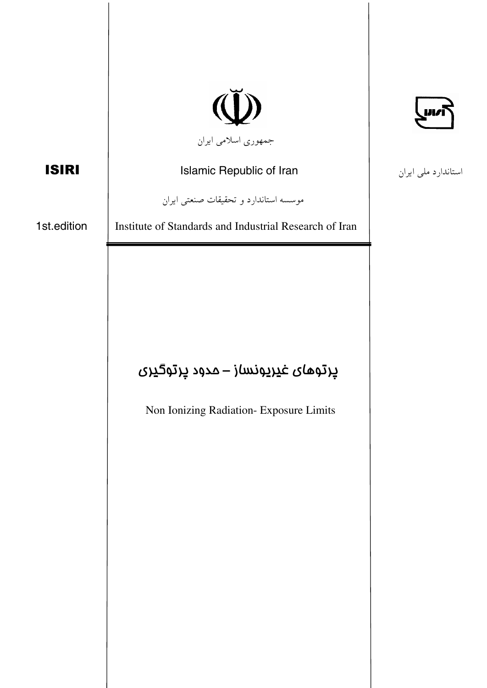|              |                                                                                                | uri                 |
|--------------|------------------------------------------------------------------------------------------------|---------------------|
|              | جمهوری اسلامی ایران                                                                            |                     |
| <b>ISIRI</b> | Islamic Republic of Iran                                                                       | استاندارد ملی ایران |
|              | موسسه استاندارد و تحقیقات صنعتی ایران                                                          |                     |
| 1st.edition  | Institute of Standards and Industrial Research of Iran                                         |                     |
|              | ېرتو <i>های غ</i> یریونس <i>ا</i> ز – مدود پرتوگیری<br>Non Ionizing Radiation- Exposure Limits |                     |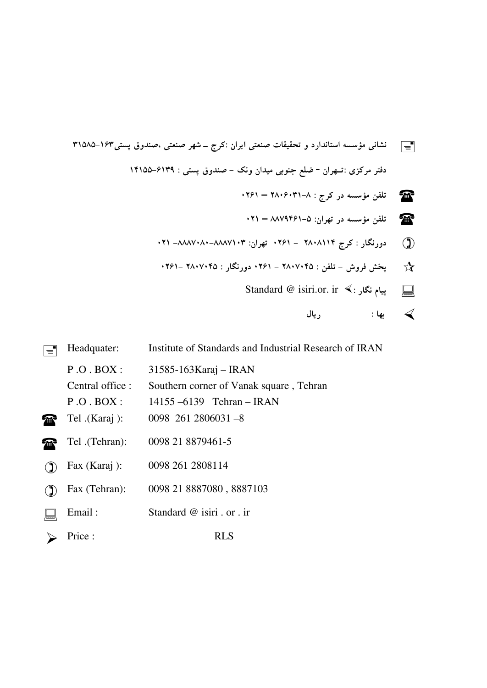

 $\boxed{\equiv}$  Headquater: Institute of Standards and Industrial Research of IRAN  $P.O.BOX: 31585-163Karaj - IRAN$ Central office : Southern corner of Vanak square, Tehran  $P. O. BOX: 14155 - 6139$  Tehran – IRAN Tel .(Karaj ): 0098 261 2806031 -8 Tel .(Tehran): 0098 21 8879461-5 Fax (Karaj ): <sup>0098</sup> <sup>261</sup> <sup>2808114</sup> Fax (Tehran): <sup>0098</sup> <sup>21</sup> <sup>8887080</sup> , <sup>8887103</sup> Email : Standard @ isiri . or . ir Price : RLS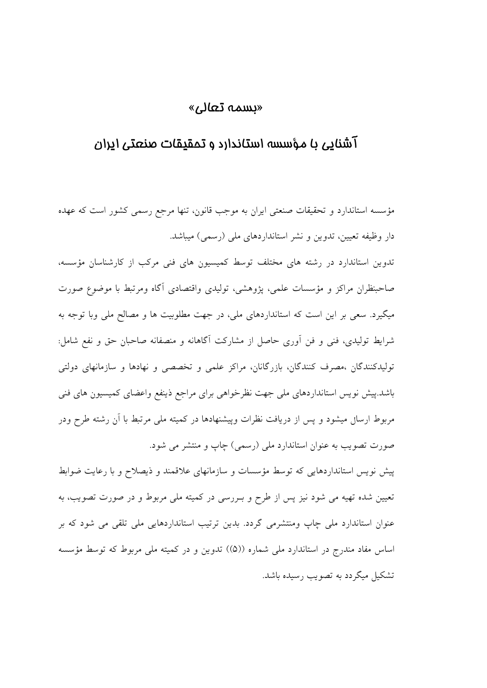## «سمه تعالى

## آشنایی با مؤسسه استاندارد و تمقیقات صنعتی ایران

مؤسسه استاندارد و تحقیقات صنعتبی ایران به موجب قانون، تنها مرجع رسمی کشور است که عهده دار وظیفه تعیین، تدوین و نشر استانداردهای ملی (رسمی) میباشد.

تدوین استاندارد در رشته های مختلف توسط کمیسیون های فنی مرکب از کارشناسان مؤسسه، صاحبنظران مراكز و مؤسسات علمي، يژوهشي، توليدي واقتصادي آگاه ومرتبط با موضوع صورت میگیرد. سعی بر این است که استانداردهای ملی، در جهت مطلوبیت ها و مصالح ملی وبا توجه به شرایط تولیدی، فنی و فن آوری حاصل از مشارکت آگاهانه و منصفانه صاحبان حق و نفع شامل: تولیدکنندگان ،مصرف کنندگان، بازرگانان، مراکز علمی و تخصصی و نهادها و سازمانهای دولتی باشد.پیش نویس استانداردهای ملی جهت نظرخواهی برای مراجع ذینفع واعضای کمیسیون های فنی مربوط ارسال میشود و پس از دریافت نظرات وپیشنهادها در کمیته ملی مرتبط با اَن رشته طرح ودر صورت تصویب به عنوان استاندارد ملی (رسمی) چاپ و منتشر می شود.

پیش نویس استانداردهایی که توسط مؤسسات و سازمانهای علاقمند و ذیصلاح و با رعایت ضوابط تعیین شده تهیه می شود نیز پس از طرح و بـررسی در کمیته ملی مربوط و در صورت تصویب، به عنوان استاندارد ملی جاپ ومنتشرمی گردد. بدین ترتیب استانداردهایی ملی تلقی می شود که بر اساس مفاد مندرج در استاندارد ملی شماره ((۵)) تدوین و در کمیته ملی مربوط که توسط مؤسسه تشکیل میگردد به تصویب رسیده باشد.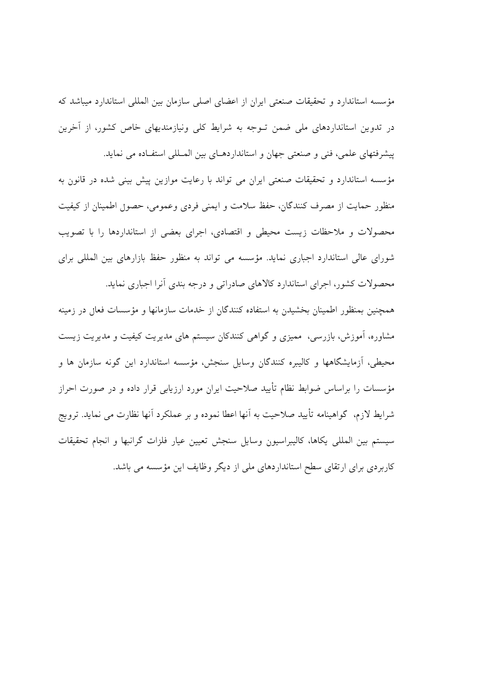مؤسسه استاندارد و تحقیقات صنعتی ایران از اعضای اصلی سازمان بین المللی استاندارد میباشد که در تدوین استانداردهای ملی ضمن تـوجه به شرایط کلی ونیازمندیهای خاص کشور، از آخرین پیشرفتهای علمی، فنی و صنعتی جهان و استانداردهـای بین المـللی استفـاده می نماید.

مؤسسه استاندارد و تحقیقات صنعتی ایران می تواند با رعایت موازین پیش بینی شده در قانون به منظور حمایت از مصرف کنندگان، حفظ سلامت و ایمنی فردی وعمومی، حصول اطمینان از کیفیت محصولات و ملاحظات زیست محیطی و اقتصادی، اجرای بعضی از استانداردها را با تصویب شورای عالی استاندارد اجباری نماید. مؤسسه می تواند به منظور حفظ بازارهای بین المللی برای محصولات کشور، اجرای استاندارد کالاهای صادراتی و درجه بندی آنرا اجباری نماید.

همچنین بمنظور اطمینان بخشیدن به استفاده کنندگان از خدمات سازمانها و مؤسسات فعال در زمینه مشاوره، آموزش، بازرسی، ممیزی و گواهی کنندکان سیستم های مدیریت کیفیت و مدیریت زیست محیطی، آزمایشگاهها و کالیبره کنندگان وسایل سنجش، مؤسسه استاندارد این گونه سازمان ها و مؤسسات را براساس ضوابط نظام تأیید صلاحیت ایران مورد ارزیابی قرار داده و در صورت احراز شرايط لازم، گواهينامه تأييد صلاحيت به آنها اعطا نموده و بر عملكرد آنها نظارت مى نمايد. ترويج سيستم بين المللي يكاها، كاليبراسيون وسايل سنجش تعيين عيار فلزات گرانبها و انجام تحقيقات کاربردی برای ارتقای سطح استانداردهای ملی از دیگر وظایف این مؤسسه می باشد.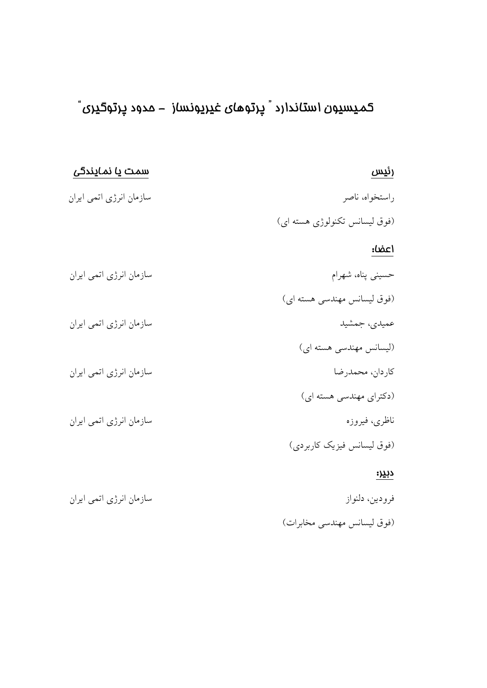# کمیسیون استاندارد ؒ پرتو*های غ*یریونساز – مدود پرتوگیری ؒ

| رئيس                          | <u>سمت یا نمایندگی</u>  |
|-------------------------------|-------------------------|
| راستخواه، ناصر                | سازمان انرژی اتمی ایران |
| (فوق لیسانس تکنولوژی هسته ای) |                         |
| اعضا:                         |                         |
| حسینی پناه، شهرام             | سازمان انرژی اتمی ایران |
| (فوق لیسانس مهندسی هسته ای)   |                         |
| عمیدی، جمشید                  | سازمان انرژی اتمی ایران |
| (لیسانس مهندسی هسته ای)       |                         |
| كاردان، محمدرضا               | سازمان انرژی اتمی ایران |
| (دکترای مهندسی هسته ای)       |                         |
| ناظري، فيروزه                 | سازمان انرژی اتمی ایران |
| (فوق لیسانس فیزیک کاربردی)    |                         |
| <u>دبدر:</u>                  |                         |
| فرودين، دلنواز                | سازمان انرژی اتمی ایران |
| (فوق ليسانس مهندسي مخابرات)   |                         |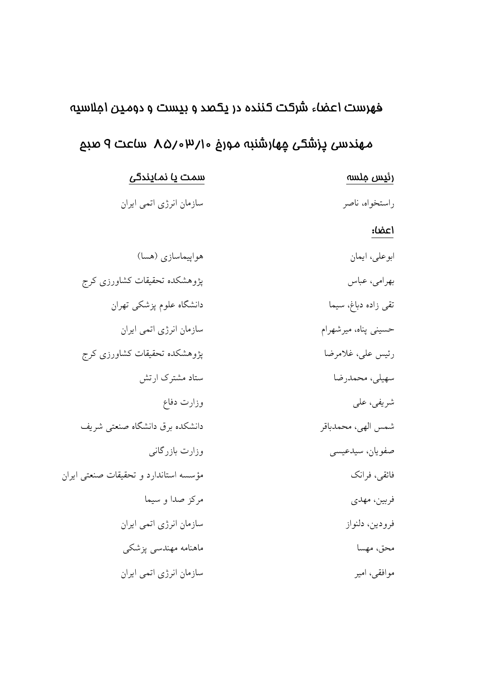# فهرست اعضاء شركت كننده در يكصد و بيست و دومين املاسيه

# مهندسی پزشکی مٍهارشنبه مورغ ۱٫۵/۰۳ ماعت ۹ صبع

| رئيس ملسه            | سمت یا نمایندگی                       |
|----------------------|---------------------------------------|
| راستخواه، ناصر       | سازمان انرژی اتمی ایران               |
| اعضا:                |                                       |
| ابوعلى، ايمان        | هواپیماسازی (هسا)                     |
| بهرامي، عباس         | پژوهشکده تحقیقات کشاورزی کرج          |
| تقى زادە دباغ، سيما  | دانشگاه علوم پزشکی تهران              |
| حسینی پناه، میرشهرام | سازمان انرژی اتمی ایران               |
| رئيس على، غلامرضا    | پژوهشکده تحقیقات کشاورزی کرج          |
| سهيلي، محمدرضا       | ستاد مشترک ارتش                       |
| شریفی، علی           | وزارت دفاع                            |
| شمس الهي، محمدباقر   | دانشکده برق دانشگاه صنعتی شریف        |
| صفويان، سيدعيسي      | وزارت بازرگانی                        |
| فائقى، فرانك         | مؤسسه استاندارد و تحقیقات صنعتی ایران |
| فربين، مهدي          | مركز صدا و سيما                       |
| فرودين، دلنواز       | سازمان انرژی اتمی ایران               |
| محق، مهسا            | ماهنامه مهندسی پزشکی                  |
| موافقى، امير         | سازمان انرژی اتمی ایران               |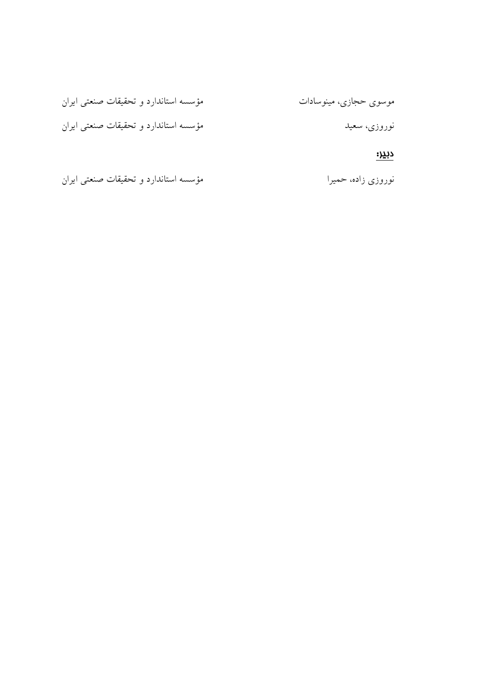| موسوی حجازی، مینوسادات | مؤسسه استاندارد و تحقیقات صنعتی ایران |
|------------------------|---------------------------------------|
| نوروزی، سعید           | مؤسسه استاندارد و تحقیقات صنعتی ایران |
| دب <u>د</u> ر:         |                                       |

مؤسسه استاندارد و تحقیقات صنعتی ایران نوروزي زاده، حميرا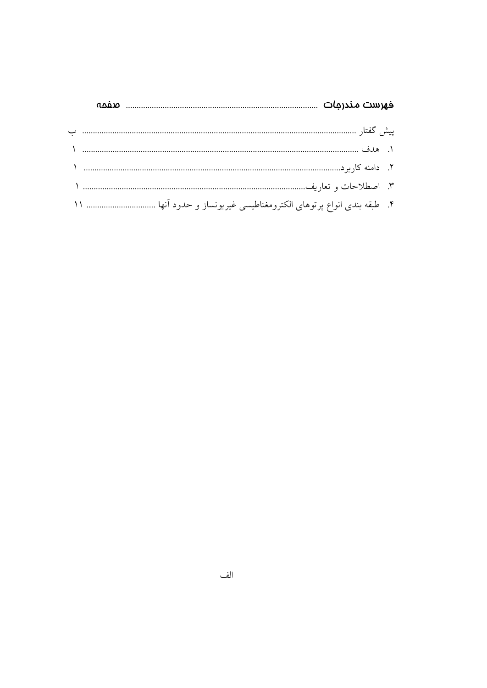| anin                                                                |  |
|---------------------------------------------------------------------|--|
|                                                                     |  |
|                                                                     |  |
|                                                                     |  |
|                                                                     |  |
| ۴. طبقه بندی انواع پرتوهای الکترومغناطیسی غیریونساز و حدود آنها  ۱۱ |  |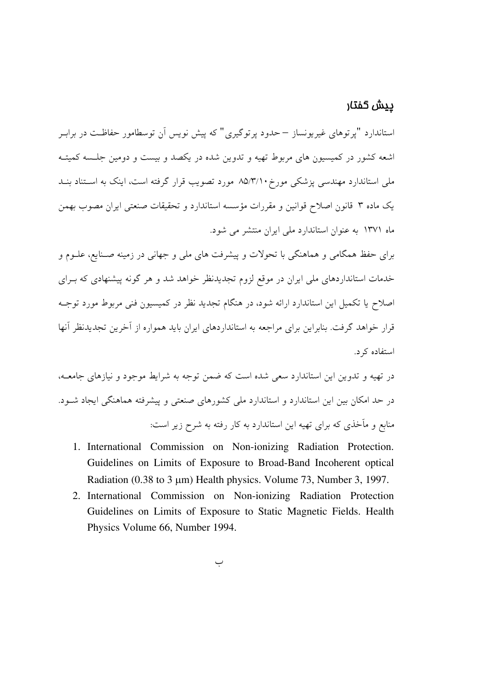### <u>ييش</u> گفتار

استاندارد "پرتوهای غیریونساز – حدود پرتوگیری" که پیش نویس آن توسطامور حفاظـت در برابـر .<br>اشعه کشور در کمیسیون های مربوط تهیه و تدوین شده در یکصد و پیست و دومین حلیسه کمیتیه. ملی استاندارد مهندسی پزشکی مورخ۱۰/۸۵/۳ مورد تصویب قرار گرفته است، اینک به استناد ىنـد یک ماده ۳ قانون اصلاح قوانین و مقررات مؤسسه استاندارد و تحقیقات صنعتی ایران مصوب بهمن .<br>ماه ۱۳۷۱ به عنوان استاندارد مل<sub>ی</sub> ایران منتشر م*ی* شود.

برای حفظ همگامی و هماهنگی با تحولات و پیشرفت های ملی و جهانی در زمینه صـنایع، علـوم و خدمات استاندار دهای ملی ایران در موقع لزوم تجدیدنظر خواهد شد و هر گونه پیشنهادی که بـرای اصلاح یا تکمیل این استاندارد ارائه شود، در هنگام تجدید نظر در کمیسیون فنی مربوط مورد توجـه قرار خواهد گرفت. بنابراین برای مراجعه به استانداردهای ایران باید همواره از آخرین تحدیدنظر آنها استفاده کرد.

در تهیه و تدوین این استاندارد سعی شده است که ضمن توجه به شرایط موجود و نیازهای جامعـه، در حد امکان بین این استاندارد و استاندارد ملی کشورهای صنعتی و پیشرفته هماهنگی ایجاد شـود. منابع و مأخذي كه براي تهيه اين استاندارد به كار رفته به شرح زير است:

- 1. International Commission on Non-ionizing Radiation Protection. Guidelines on Limits of Exposure to Broad-Band Incoherent optical Radiation (0.38 to 3 µm) Health physics. Volume 73, Number 3, 1997.
- 2. International Commission on Non-ionizing Radiation Protection Guidelines on Limits of Exposure to Static Magnetic Fields. Health Physics Volume 66, Number 1994.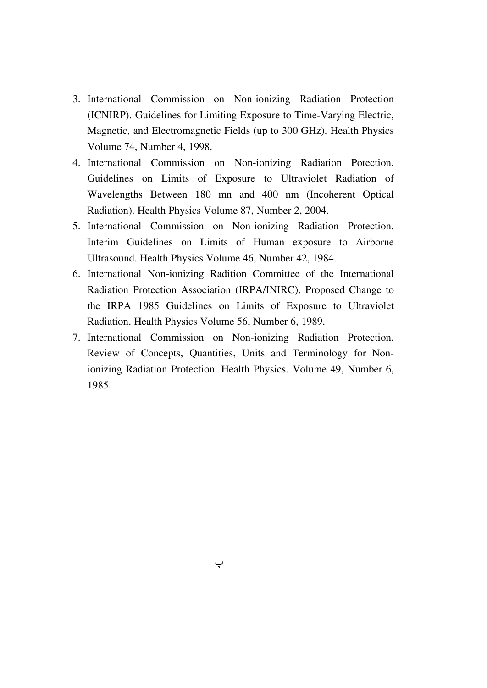- 3. International Commission on Non-ionizing Radiation Protection (ICNIRP). Guidelines for Limiting Exposure to Time-Varying Electric, Magnetic, and Electromagnetic Fields (up to 300 GHz). Health Physics Volume 74, Number 4, 1998.
- 4. International Commission on Non-ionizing Radiation Potection. Guidelines on Limits of Exposure to Ultraviolet Radiation of Wavelengths Between 180 mn and 400 nm (Incoherent Optical Radiation). Health Physics Volume 87, Number 2, 2004.
- 5. International Commission on Non-ionizing Radiation Protection. Interim Guidelines on Limits of Human exposure to Airborne Ultrasound. Health Physics Volume 46, Number 42, 1984.
- 6. International Non-ionizing Radition Committee of the International Radiation Protection Association (IRPA/INIRC). Proposed Change to the IRPA 1985 Guidelines on Limits of Exposure to Ultraviolet Radiation. Health Physics Volume 56, Number 6, 1989.
- 7. International Commission on Non-ionizing Radiation Protection. Review of Concepts, Quantities, Units and Terminology for Nonionizing Radiation Protection. Health Physics. Volume 49, Number 6, 1985.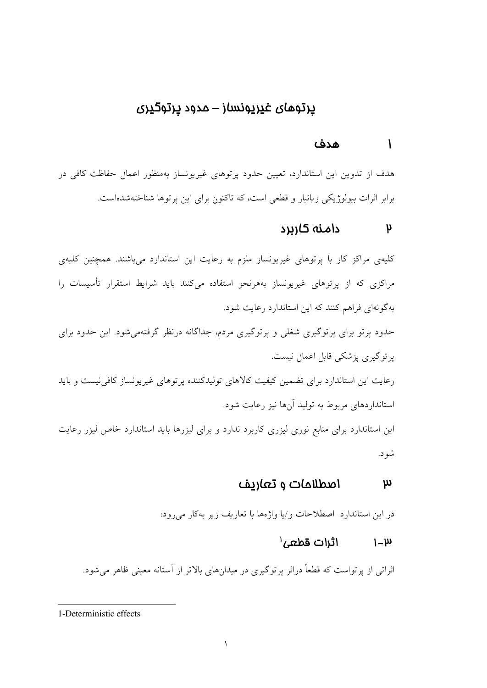## پرتوهای غیرپونساز – مدود پرتوگیری

#### هدف  $\mathbf{I}$

هدف از تدوین این استاندارد، تعیین حدود پرتوهای غیریونساز بهمنظور اعمال حفاظت کافی در برابر اثرات بیولوژیکی زیانبار و قطعی است، که تاکنون برای این پرتوها شناختهشدهاست.

### دامنه کاربرد  $\mathsf{p}$

کلیهی مراکز کار با پرتوهای غیریونساز ملزم به رعایت این استاندارد میباشند. همچنین کلیهی مراکزی که از پرتوهای غیریونساز بههرنحو استفاده میکنند باید شرایط استقرار تأسیسات را به گونهای فراهم کنند که این استاندارد رعایت شود.

حدود پرتو برای پرتوگیری شغلی و پرتوگیری مردم، جداگانه درنظر گرفتهمیشود. این حدود برای پر توگیری پزشکی قابل اعمال نیست.

رعایت این استاندارد برای تضمین کیفیت کالاهای تولیدکننده پرتوهای غیرپونساز کافی نیست و باید استانداردهای مربوط به تولید آنها نیز رعایت شود.

این استاندارد برای منابع نوری لیزری کاربرد ندارد و برای لیزرها باید استاندارد خاص لیزر رعایت شود.

### اصطلاحات و تعاريف  $\boldsymbol{\mu}$

در این استاندارد اصطلاحات و/یا واژهها با تعاریف زیر بهکار میرود:

### $\mathfrak{f}$ اثرات قطعی  $u_{-1}$

اثراتی از پرتواست که قطعاً دراثر پرتوگیری در میدانهای بالاتر از آستانه معینی ظاهر میشود.

<sup>1-</sup>Deterministic effects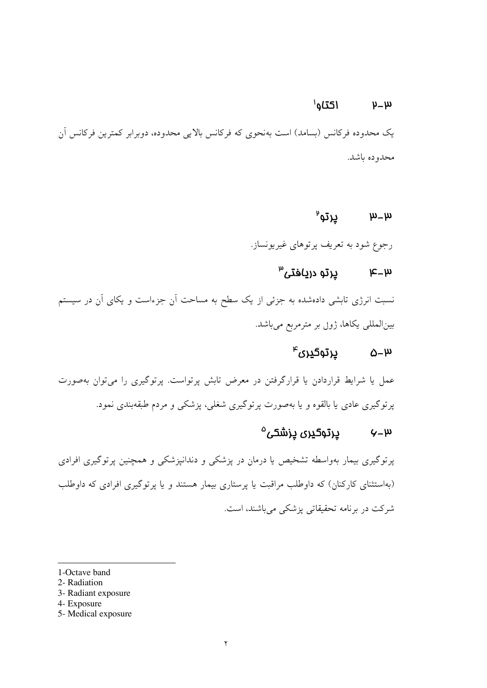#### $I$ اكتاو $I$  $\mu-\mu$

یک محدوده فرکانس (بسامد) است بهنحوی که فرکانس بالایی محدوده، دوبرابر کمترین فرکانس اَن محدوده ياشد.

### $\mathbf{\mathfrak{p}}$ پرتو  $\mu$   $\mu$

رجوع شود به تعریف پرتوهای غیریونساز.

# $^{\omega}$ س ہے کرتو دریافتی  $\mu$

نسبت انرژی تابشی دادهشده به جزئی از یک سطح به مساحت آن جزءاست و یکای آن در سیستم بین|لمللی یکاها، ژول بر مترمربع میباشد.

## $^{\text{\tiny{w}}}$ م درتوگیری $\omega$

عمل یا شرایط قراردادن یا قرارگرفتن در معرض تابش پرتواست. پرتوگیری را می توان بهصورت پرتوگیری عادی یا بالقوه و یا بهصورت پرتوگیری شغلی، پزشکی و مردم طبقهبندی نمود.

## $^{\circ}$ س – $\gamma$  ورتوگیری پزشکی

پرتوگیری بیمار بهواسطه تشخیص یا درمان در پزشکی و دندانپزشکی و همچنین پرتوگیری افرادی (بهاستثنای کارکنان) که داوطلب مراقبت یا پرستاری بیمار هستند و یا پرتوگیری افرادی که داوطلب شرکت در برنامه تحقیقاتی پزشکی میباشند، است.

1-Octave band

- 2- Radiation
- 3- Radiant exposure
- 4- Exposure
- 5- Medical exposure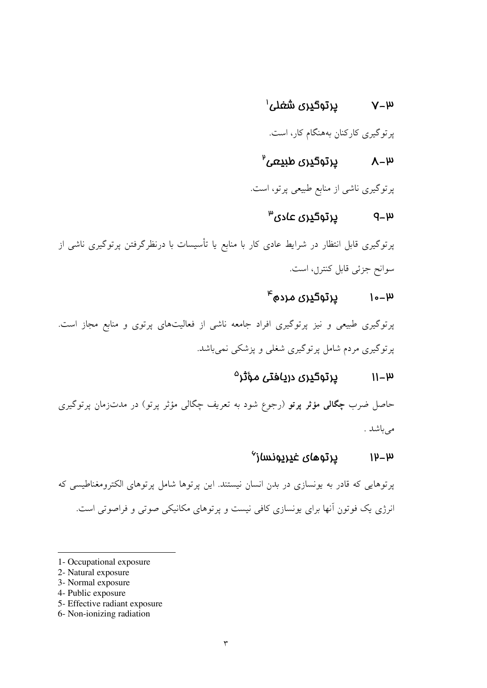# $^{\prime}$ ۷–۳  $^{\prime}$ یرتوگیری شغلی

پرتوگیری کارکنان بههنگام کار، است.

# $\mu-\lambda$ لا – $\lambda$  لِالله ع $\mu$

پرتوگیری ناشی از منابع طبیعی پرتو، است.

### $^{\omega}$ ڍرتوگڍري عادي  $q - \mu$

پرتوگیری قابل انتظار در شرایط عادی کار با منابع یا تأسیسات با درنظرگرفتن پرتوگیری ناشی از سوانح جزئي قابل كنترل، است.

## $^{\mu}$ ا–۱۰– درتوگیری مرده ۴

پرتوگیری طبیعی و نیز پرتوگیری افراد جامعه ناشی از فعالیتهای پرتوی و منابع مجاز است. پرتوگیری مردم شامل پرتوگیری شغلی و پزشکی نمی باشد.

## $^{\circ}$ ۱۱–۱۳ میرتوگیری دریافتی مؤثر

حاصل ضرب **چگالی مؤثر پرتو** (رجوع شود به تعریف چگالی مؤثر پرتو) در مدتزمان پرتوگیری مى باشد .

### پرتوهای غ<u>یری</u>ونساز<sup>۷</sup>  $1h$ -m

پرتوهایی که قادر به یونسازی در بدن انسان نیستند. این پرتوها شامل پرتوهای الکترومغناطیسی که انرژی یک فوتون آنها برای یونسازی کافی نیست و پرتوهای مکانیکی صوتی و فراصوتی است.

- 1- Occupational exposure
- 2- Natural exposure
- 3- Normal exposure
- 4- Public exposure
- 5- Effective radiant exposure
- 6- Non-ionizing radiation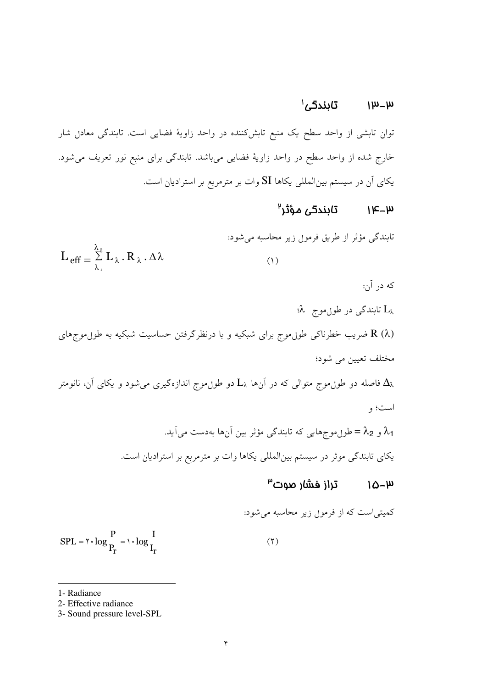### تابندگی ٰ  $\mu$ – $\mu$

توان تابشی از واحد سطح یک منبع تابشکننده در واحد زاویهٔ فضایی است. تابندگی معادل شار خارج شده از واحد سطح در واحد زاویهٔ فضای<sub>ی</sub> میباشد. تابندگی برای منبع نور تعریف میشود. یکای آن در سیستم بینالمللی یکاها SI وات بر مترمربع بر استرادیان است.

### تابندگی مؤثر<sup>۹</sup>  $1K - W$

$$
L_{eff} = \sum_{\lambda_1}^{\lambda_2} L_{\lambda} \cdot R_{\lambda} \cdot \Delta \lambda
$$
 \n
$$
L_{eff} = \sum_{\lambda_1}^{\lambda_2} L_{\lambda} \cdot R_{\lambda} \cdot \Delta \lambda
$$

که در آن:

 $\lambda$  تابندگی در طول موج  $L_{\lambda}$ 

(R (λ ضریب خطرناکی طوںموج برای شبکیه و با درنظرگرفتن حساسیت شبکیه به طوںموجِهای مختلف تعیین می شود؛

فاصله دو طوںموج متوالی که در اَنها  ${\rm L}_{\lambda}$  دو طوںموج اندازہگیری میشود و یکای اَن، نانومتر  $\Delta_{\lambda}$ است؛ و

> $\lambda_1$ و 2 $\lambda_2 =$ طوں موج هایی که تابندگی مؤثر بین آن ها بهدست می آید. یکای تابندگی موثر در سیستم بینالمللی یکاها وات بر مترمربع بر استرادیان است.

### $^{\omega}$ تراز فشار صوت  $10-\mu$

$$
SPL = \tau \cdot \log \frac{P}{P_r} = \tau \cdot \log \frac{I}{I_r}
$$
 (7)

1- Radiance

<sup>2-</sup> Effective radiance

<sup>3-</sup> Sound pressure level-SPL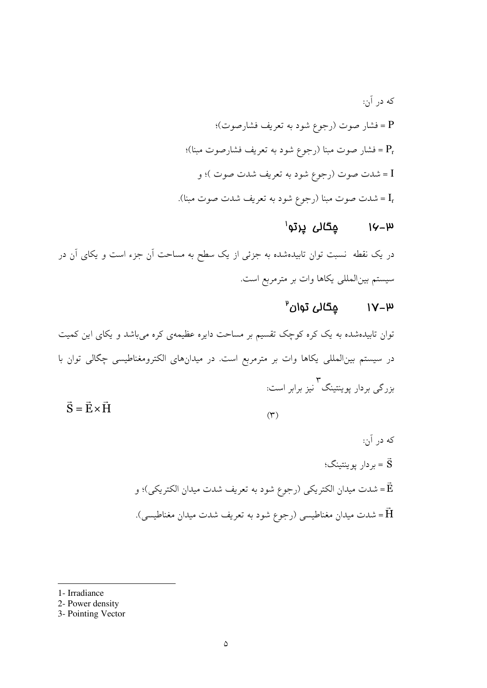## $^{\shortmid}$ ۱۷–۱۷ هگالی پرتو

در یک نقطه نسبت توان تابیدهشده به جزئی از یک سطح به مساحت آن جزء است و یکای آن در سیستم بینالمللی یکاها وات بر مترمربع است.

# $^{\text{9}}$ ۱۷–۳۱ کېګالی توان

توان تابیدهشده به یک کره کوچک تقسیم بر مساحت دایره عظیمهی کره میباشد و یکای این کمیت در سیستم بینالمللی یکاها وات بر مترمربع است. در میدانهای الکترومغناطیسی چگالی توان با ۳<br>بزرگی بردار یوینتینگ ٰ نیز برابر است:  $\vec{S} = \vec{E} \times \vec{H}$ 

 $(\Upsilon)$ 

- که در آن: بردار يوينتينگ؛  $\vec{S}$ شدت ميدان الكتريكي (رجوع شود به تعريف شدت ميدان الكتريكي)؛ و = شدت میدان مغناطیسی (رجوع شود به تعریف شدت میدان مغناطیسی). $\vec{\textbf{H}}$
- 1- Irradiance
- 2- Power density
- 3- Pointing Vector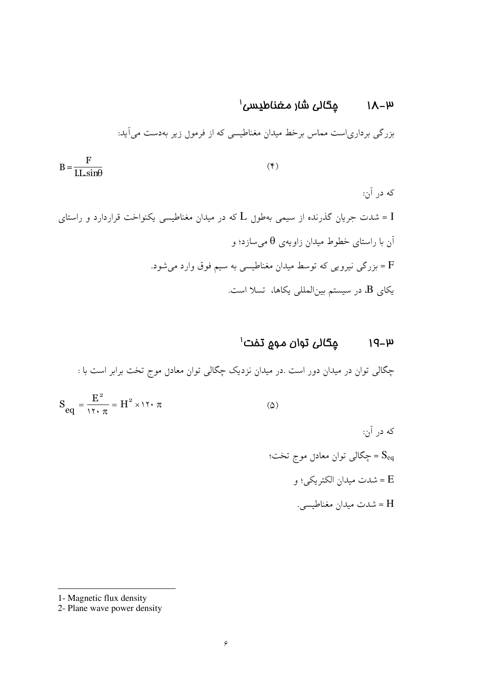# $^{\prime}$ ۱۸–۳۱ میگالی شار مغناطیسی  $^{\prime}$

بزرگی برداریاست مماس برخط میدان مغناطیسی که از فرمول زیر بهدست میآید:

$$
B = \frac{F}{LL \sin \theta} \tag{(*)}
$$

# $^{\prime}$ ۱۹–۱۹ میگالی توان موج تفت  $^{\prime}$

چگالی توان در میدان دور است .در میدان نزدیک چگالی توان معادل موج تخت برابر است با :

$$
S_{eq} = \frac{E^2}{\gamma \tau \cdot \pi} = H^2 \times \gamma \tau \cdot \pi \tag{2}
$$

<sup>1-</sup> Magnetic flux density

<sup>2-</sup> Plane wave power density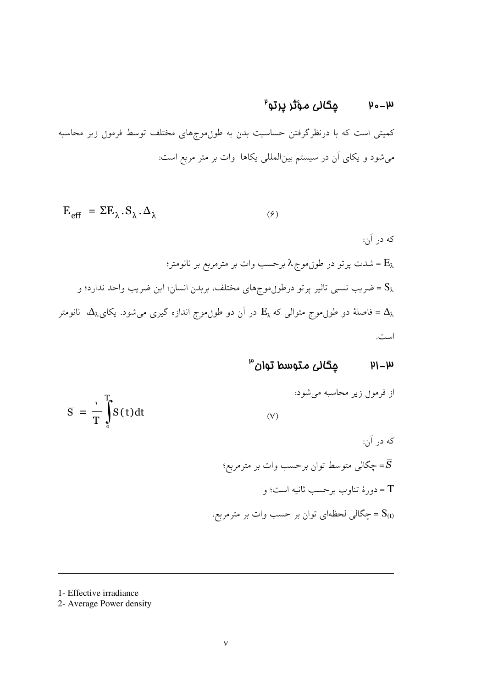# $^{\text{p}}$ ۳-۰۳ مېگالى مؤثر پرتو

کمیتی است که با درنظرگرفتن حساسیت بدن به طول.موجهای مختلف توسط فرمول زیر محاسبه میشود و یکای آن در سیستم بینالمللی یکاها وات بر متر مربع است:

که در آن:  
\n
$$
E_{eff} = \Sigma E_{\lambda} . S_{\lambda} . \Delta_{\lambda}
$$
  
\n $E_{eff} = \Delta_{\lambda} . S_{\lambda} . \Delta_{\lambda}$   
\n $E_{\lambda} = \Delta_{\lambda} . E_{\lambda} . \Delta_{\lambda} = 0$   
\n $E_{\lambda} = \Delta_{\lambda} . \Delta_{\lambda} = 0$   
\n $S_{\lambda} = \Delta_{\lambda} . \Delta_{\lambda} = 0$   
\n $E_{\lambda} = \Delta_{\lambda} . \Delta_{\lambda} = 0$   
\n $E_{\lambda} = \Delta_{\lambda} . \Delta_{\lambda} = 0$   
\n $E_{\lambda} = \Delta_{\lambda} . \Delta_{\lambda} = 0$ 

### $\mu$ - $\mu$

$$
\overline{S} = \frac{1}{T} \int_{0}^{T} S(t) dt
$$
 (V)

1- Effective irradiance

2- Average Power density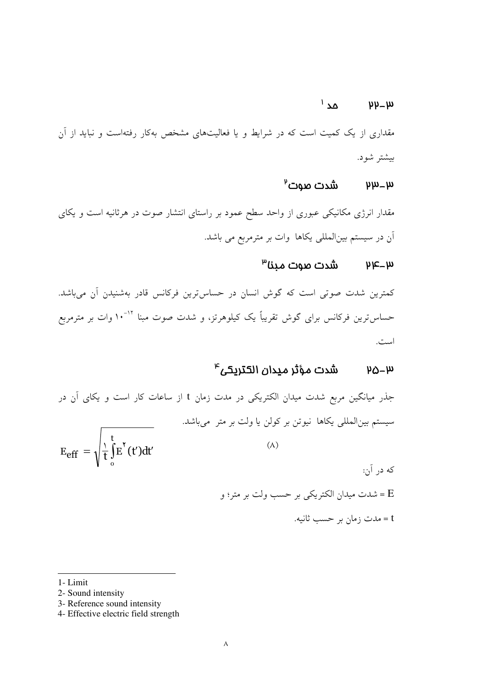### $\Delta$ مد $^{\prime}$  $\mu$   $\mu$

مقداری از یک کمیت است که در شرایط و یا فعالیتهای مشخص بهکار رفتهاست و نباید از آن بيشتر شود.

#### $^{\mathfrak{p}}$ شدت صوت  $\mu$ - $\mu$

مقدار انرژی مکانیکی عبوری از واحد سطح عمود بر راستای انتشار صوت در هرثانیه است و یکای اّن در سیستم بین|لمللی یکاها وات بر مترمربع می باشد.

## $^{\omega}$ ۳–۹۳ میں سوت مینا

کمترین شدت صوتی است که گوش انسان در حساس ترین فرکانس قادر بهشنیدن آن میباشد. حساس ترین فرکانس برای گوش تقریباً یک کیلوهرتز، و شدت صوت مبنا <sup>۱۲-۱</sup>۰ وات بر مترمربع است.

### $^{\text{a}}$ شدت مؤثر ميدان الكتريكى  $\mu_{\Delta-\mu}$

|                                                                  | جذر میانگین مربع شدت میدان الکتریکی در مدت زمان t از ساعات کار است و یکای آن در |
|------------------------------------------------------------------|---------------------------------------------------------------------------------|
|                                                                  | سیستم بینالمللی یکاها نیوتن بر کولن یا ولت بر متر میباشد.                       |
| $E_{\text{eff}} = \sqrt{\frac{1}{t} \int_{0}^{t} E^{r}(t') dt'}$ |                                                                                 |
|                                                                  | که در آن:                                                                       |
|                                                                  | E = شدت میدان الکتریکی بر حسب ولت بر متر؛ و                                     |
|                                                                  | t = مدت زمان بر حسب ثانیه.                                                      |

1- Limit

- 3- Reference sound intensity
- 4- Effective electric field strength

<sup>2-</sup> Sound intensity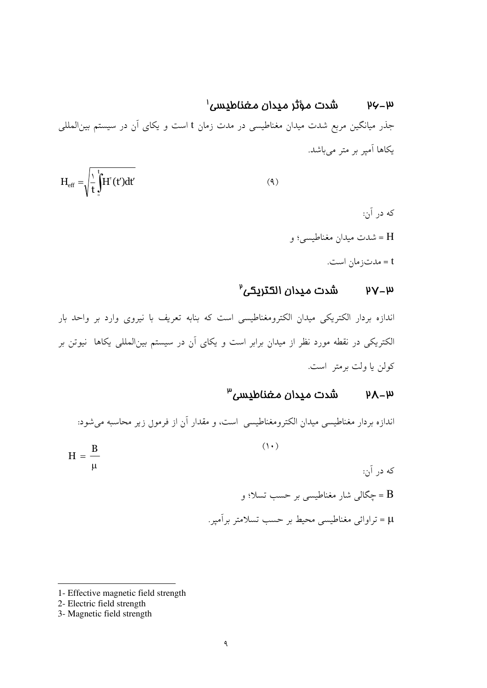شدت مؤثر مبدان مغناطيسى'  $\mu\zeta - \mu$ جذر میانگین مربع شدت میدان مغناطیسی در مدت زمان t است و یکای آن در سیستم بینالمللی یکاها آمپر بر متر میباشد.

$$
H_{\rm eff} = \sqrt{\frac{1}{t}} \int_{t}^{t} H^{v}(t') dt'
$$
 (4)

که در آن: H = شدت ميدان مغناطيسي؛ و t = مدت; مان است.

## $^{\circ}$ ۳–۷۷ شدت میدان الکتریکی

اندازه بردار الكتريكي ميدان الكترومغناطيسي است كه بنابه تعريف با نيروى وارد بر واحد بار الکتریکی در نقطه مورد نظر از میدان برابر است و یکای آن در سیستم بینالمللی یکاها نیوتن بر كولن يا ولت برمتر است.

### شدت ميدان مغناطيسى<sup>٣</sup>  $hV - m$

اندازه بردار مغناطیسی میدان الکترومغناطیسی است، و مقدار آن از فرمول زیر محاسبه میشود:

$$
H = \frac{B}{\mu}
$$
\n
$$
H = \frac{B}{\mu}
$$
\n
$$
= \frac{B}{\mu}
$$
\n
$$
= \frac{B}{\mu}
$$
\n
$$
= \frac{B}{\mu}
$$
\n
$$
= \frac{B}{\mu}
$$

<sup>1-</sup> Effective magnetic field strength

<sup>2-</sup> Electric field strength

<sup>3-</sup> Magnetic field strength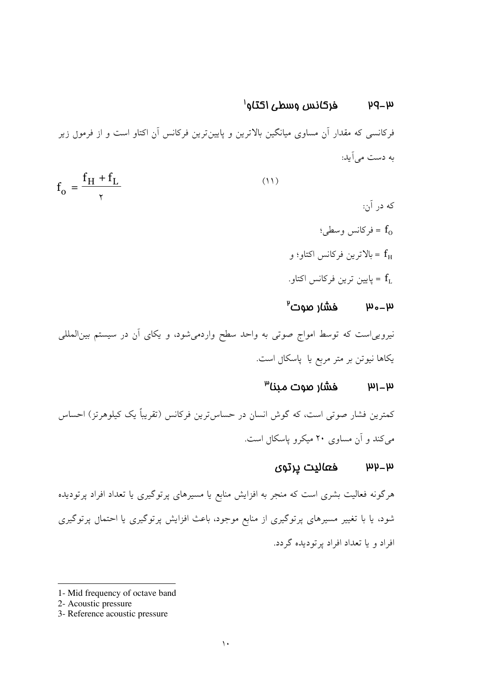#### فركانس وسطى اكتاو<sup>ا</sup>  $\mu - \mu$

فرکانسی که مقدار آن مساوی میانگین بالاترین و پایینترین فرکانس آن اکتاو است و از فرمول زیر به دست مر آید:

$$
f_o = \frac{f_H + f_L}{\gamma} \tag{11}
$$

که در آن:  $f_0$  = فركانس وسطى: ج بالاترين فركانس اكتاو؛ و $f_{\rm H}$ - ياپين ترين فركانس اكتاو  $\mathbf{f}_{\text{L}}$ 

### $\mu$ م – مس $\mu$  – سود  $\mu$

نیروییاست که توسط امواج صوتی به واحد سطح واردمیشود، و یکای آن در سیستم بینالمللی یکاها نیوتن بر متر مربع یا یاسکال است.

### فشار صوت مىنا<sup>س</sup>  $\mu$ <sub>1</sub>  $\mu$

كمترين فشار صوتي است، كه گوش انسان در حساس ترين فركانس (تقريباً يک کيلوهرتز) احساس می کند و آن مساوی ۲۰ میکرو پاسکال است.

### $\mu$ س اس ه $\mu$ ليت پرتوي

هرگونه فعالیت بشری است که منجر به افزایش منابع یا مسیرهای پرتوگیری یا تعداد افراد پرتودیده شود، یا با تغییر مسیرهای پرتوگیری از منابع موجود، باعث افزایش پرتوگیری یا احتمال پرتوگیری افراد و با تعداد افراد بر تو دیده گردد.

<sup>1-</sup> Mid frequency of octave band

<sup>2-</sup> Acoustic pressure

<sup>3-</sup> Reference acoustic pressure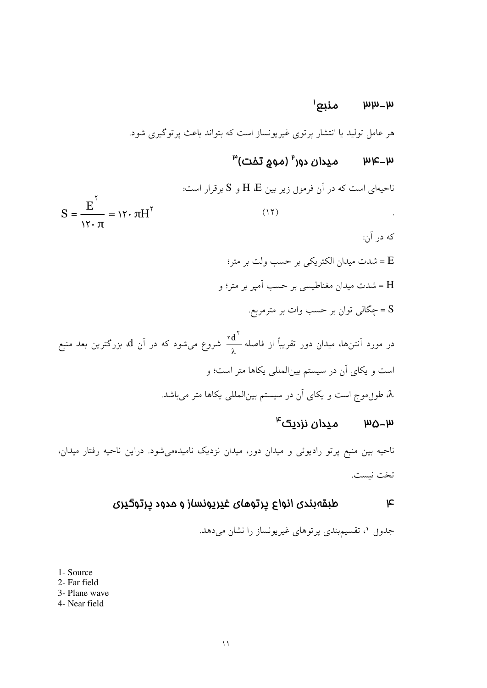## $^{\prime}$ س منبع $^{\prime}$

هر عامل تولید یا انتشار پرتوی غیریونساز است که بتواند باعث پرتوگیری شود.

# $^{\omega}$ س – $\alpha$ س – ميدان دور $^{\omega}$  (مومِ تفت)

ناحیهای است که در آن فرمول زیر بین H ،E و S برقرار است:  $S = \frac{E^{r}}{N \sqrt{\pi}} = N \cdot \pi H^{r}$  $(11)$ که در آن: E = شدت ميدان الكتريكي بر حسب ولت بر متر؛ H = شدت میدان مغناطیسی بر حسب اَمپر بر متر؛ و

جگالی توان بر حسب وات بر مترمربع. ${\rm S}$ 

در مورد آنتزها، میدان دور تقریباً از فاصله 
$$
\frac{rd^{\prime}}{\lambda}
$$
 شروع میشود که در آن 1۵ بزرگترین بعد منبع  
است و یکای آن در سیستم بینالمللی یکاها متر است؛ و  
۸، طورموج است و یکای آن در سیستم بینالمللی یکاها متر میباشد.

## $^{\mu}$ س – میدان نزدیک اس

ناحیه بین منبع پرتو رادیوئی و میدان دور، میدان نزدیک نامیدهمیشود. دراین ناحیه رفتار میدان، تخت نيست.

#### طبقهبندی انواع پرتوهای غیرپونساز و مدود پرتوگیری  $\mathbf{r}$

جدو<sub>ل</sub> ۱، تقسیمهندی پرتوهای غیریونساز را نشان میدهد.

- 3- Plane wave
- 4- Near field

<sup>1-</sup> Source

<sup>2-</sup> Far field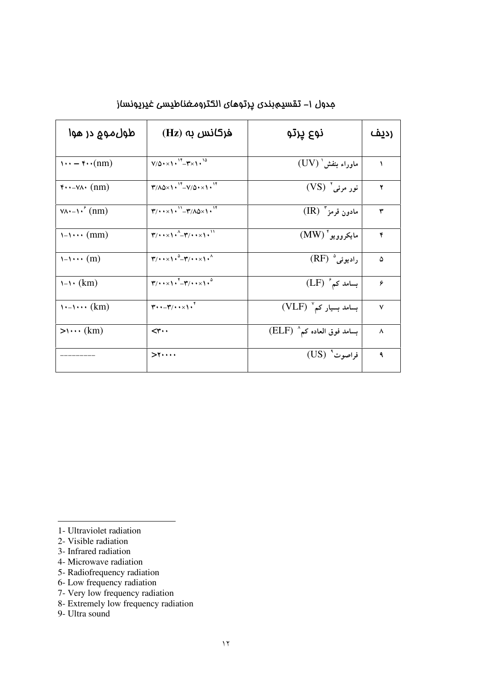| طول موم در هوا                                                 | $(Hz)$ فرکانس به                                                                              | نوع پرتو                    | <u>(دیف</u> |
|----------------------------------------------------------------|-----------------------------------------------------------------------------------------------|-----------------------------|-------------|
| $\cdots$ – $\cdots$ (nm)                                       | $V/\Delta$ + $\times$ 1 + $V^*$ - $T \times 1$ + $^{10}$                                      | ماوراء بنفش (UV)            | ١           |
| $\mathbf{y} \cdot \mathbf{y} - \mathbf{y} \cdot (\mathbf{n}m)$ | $T/\Delta\Delta\times1.^{14} - V/\Delta\times1.^{14}$                                         | نور مرئي' (VS)              | ۲           |
| $\forall \lambda \cdot - \lambda$ , (nm)                       | $T/(\cdot x)$ , $T/T/\Delta x$                                                                | مادون قرمز" (IR)            | ٣           |
| $1 - 1 \cdots (mm)$                                            | $\mathbf{r}/\cdots \times \mathbf{r}^{\wedge} - \mathbf{r}/\cdots \times \mathbf{r}^{\wedge}$ | مايكروويو <sup>*</sup> (MW) | ۴           |
| $1 - 1 \cdots (m)$                                             | $\mathbf{r}/\cdots \times 1 \cdot \mathbf{r} - \mathbf{r}/\cdots \times 1 \cdot \mathbf{r}$   | $(RF)$ داديوئي)             | ۵           |
| $1 - 1 \cdot (km)$                                             | $\mathbf{r}/\cdots \times 1 \cdot \mathbf{r} - \mathbf{r}/\cdots \times 1 \cdot^{\circ}$      | $(LF)$ بسامد کم             | ۶           |
| $\cdots$ (km)                                                  | $\mathbf{r} \cdot \mathbf{r} - \mathbf{r} \cdot \mathbf{r} \cdot \mathbf{r}$                  | $(VLF)$ بسامد بسیار کم      | ٧           |
| $\rightarrow$ $\cdots$ (km)                                    | $\prec$ ۳۰۰                                                                                   | بسامد فوق العاده کم` (ELF)  | ٨           |
|                                                                | $>$ $\cdots$ $\cdots$                                                                         | $(US)$ فراصوت               | ٩           |

مِدول ١– تقسيمبندي پرتوماي الكترومغناطيسي غيرپونساز

- 3- Infrared radiation
- 4- Microwave radiation
- 5- Radiofrequency radiation
- 6- Low frequency radiation
- 
- 7- Very low frequency radiation<br>8- Extremely low frequency radiation
- 9- Ultra sound

<sup>1-</sup> Ultraviolet radiation

<sup>2-</sup> Visible radiation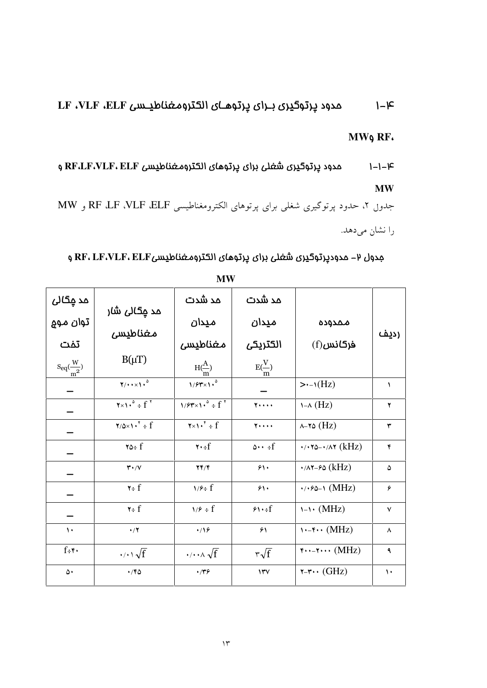### مدود پرتوگیری بـرای پرتوهـای الکترومغناطیـسی LF ،VLF ،ELF  $1 - k$

MW9 RF.

مدود پرتوگیری شغلی برای پرتوهای الکترومغناطیسی RF،LF،VLF، ELF و  $1 - 1 - 1 - 1$  $\mathbf{MW}$ 

جدول ۲، حدود پرتوگیری شغلی برای پرتوهای الکترومغناطیسی RF ،UF ،VLF ،ELF و MW را نشان میدهد.

مِدول ۲- مدودپرتوگیری شَعْلی برای پرتوهای الکترومـغناطیسیRF، LF،VLF، ELF و

| مد ڄڱالئ                | مد <u>م</u> گال <i>ی</i> ش <i>ا</i> ر                                            | مد شدت                                                          | مد شدت                  |                                                      |                    |
|-------------------------|----------------------------------------------------------------------------------|-----------------------------------------------------------------|-------------------------|------------------------------------------------------|--------------------|
| توان مو۾                | مغناطيسى                                                                         | میدان                                                           | میدان                   | ممدوده                                               | رديف               |
| تفت                     |                                                                                  | مغناطيسى                                                        | الكتريكى                | $(f)$ فركانس                                         |                    |
| $S_{eq}(\frac{W}{m^2})$ | $B(\mu T)$                                                                       | $H(\stackrel{A}{\longrightarrow})$                              | $E(\frac{V}{m})$        |                                                      |                    |
|                         | $\gamma/\cdots/\gamma^0$                                                         | $1/fY\times1$ .                                                 |                         | $\rightarrow$ -1(Hz)                                 | $\lambda$          |
|                         | $\mathbf{y} \times \mathbf{y} \cdot \mathbf{a} \div \mathbf{f} \cdot \mathbf{y}$ | $1/f'' \times 1$ <sup>o</sup> ÷ f <sup>*</sup>                  | $\mathbf{y}$            | $\lambda - \lambda$ (Hz)                             | ۲                  |
|                         | $\forall/\Delta \times 1 \cdot$ <sup>*</sup> ÷ f                                 | $\mathbf{y} \times \mathbf{y} \cdot \mathbf{y} \neq \mathbf{f}$ | 7                       | $\lambda$ -۲۵ (Hz)                                   | ٣                  |
|                         | $\forall \circ \in f$                                                            | $\mathbf{Y} \cdot \div \mathbf{f}$                              | $0 \cdot \cdot \div f$  | $\cdot$ / $\cdot \cdot \cdot$ / $\wedge \cdot$ (kHz) | $\pmb{\mathsf{Y}}$ |
|                         | $\mathbf{r} \cdot \mathbf{v}$                                                    | YY/Y                                                            | $\mathfrak{H}$          | $\cdot$ / $\wedge \cdot$ - $\circ \circ$ (kHz)       | ۵                  |
|                         | $\mathbf{y} \div \mathbf{f}$                                                     | $\frac{1}{2}$                                                   | 51.                     | $\cdot$ / $\cdot$ ۶۵-۱ (MHz)                         | ۶                  |
|                         | $\mathbf{v}$ + f                                                                 | $\frac{1}{2}$ + f                                               | $f \rightarrow f$       | $1 - 1$ (MHz)                                        | $\checkmark$       |
| $\mathcal{L}$           | $\cdot/7$                                                                        | $\cdot$ /18                                                     | $\mathcal{F}\setminus$  | $\cdots$ (MHz)                                       | ۸                  |
| $f \div f$              | $\cdot$ $\sqrt{f}$                                                               | $\cdot/\cdot\cdot\wedge\sqrt{f}$                                | $r\sqrt{f}$             | $\mathbf{y} \cdots \mathbf{y} \cdots (\text{MHz})$   | ٩                  |
| ۵۰                      | $\cdot$ /۴۵                                                                      | $\cdot$                                                         | $\mathsf{Y} \mathsf{Y}$ | $\mathsf{r}\text{-}\mathsf{r}\cdots$ (GHz)           | $\mathcal{L}$      |

**MW**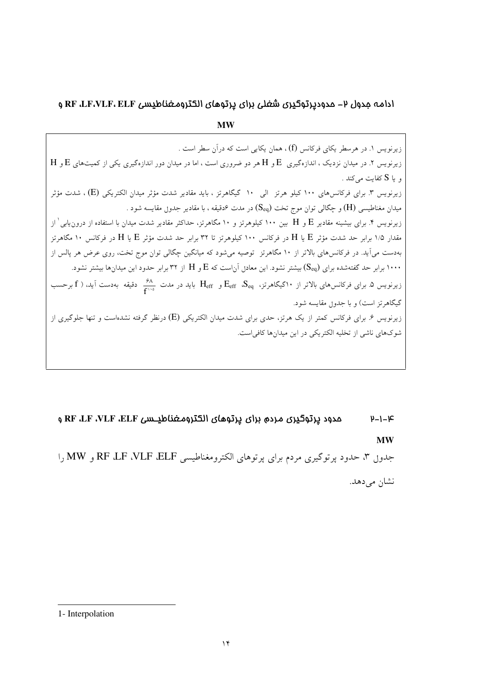### ادامه مدول ۲- مدودپرتوگیری شغلی برای پرتوهای الکترومغناطیسی RF ،LF،VLF، ELF و

**MW** زیرنویس ۱. در هرسطر یکای فرکانس (f) ، همان یکایی است که در آن سطر است .  $\rm\,H$  زیرنویس ۲. در میدان نزدیک ، اندازهگیری  $\rm\,E$  و  $\rm\,H$  هر دو ضروری است ، اما در میدان دور اندازهگیری یکی از کمیتهای  $\rm\,E$  و  $\rm\,H$ و یا S کفایت می کند . زیرنویس ۳. برای فرکانسهای ۱۰۰ کیلو هرتز الی ۱۰ گیگاهرتز ، باید مقادیر شدت مؤثر میدان الکتریکی (E) ، شدت مؤثر میدان مغناطیسی (H) و چگالی توان موج تخت ( $\rm S_{eq}$ ) در مدت ۶دقیقه ، با مقادیر جدو<sub>ل</sub> مقایسه شود . زیرنویس ۴. برای بیشینه مقادیر E و H بین ۱۰۰ کیلوهرتز و ۱۰ مگاهرتز، حداکثر مقادیر شدت میدان با استفاده از درون $\,\,$ یابی ٰ از مقدار ۱/۵ برابر حد شدت مؤثر E یا H در فرکانس ۱۰۰ کیلوهرتز تا ۳۲ برابر حد شدت مؤثر E یا H در فرکانس ۱۰ مگاهرتز بهدست میآید. در فرکانسهای بالاتر از ۱۰ مگاهرتز توصیه میشود که میانگین چگالی توان موج تخت، روی عرض هر پالس از ۱۰۰۰ برابر حد گفتهشده برای  $(\rm S_{eq})$  بیشتر نشود. این معادل آناست که  $\rm E$  و  $\rm H$  از ۳۲ برابر حدود این میدانها بیشتر نشود. زیرنویس ۵. برای فرکانس۵ای بالاتر از ۱۰گیگاهرتز،  $\rm E_{eff}$  و  $\rm E_{eff}$  باید در مدت  $\frac{\rm S}{\rm F}$  دقیقه بهدست آید، ( f برحسب گیگاهرتز است) و با جدون مقایسه شود. زیرنویس ۶. برای فرکانس کمتر از یک هرتز، حدی برای شدت میدان الکتریکی (E) درنظر گرفته نشدهاست و تنها جلوگیری از شوکهای ناشی از تخلیه الکتریکی در این میدانها کافی است.

## مدود پرتوگیری مردم برای پرتوهای الکترومغناطیــسی RF ،LF ،VLF ،ELF و  $y - 1 - \mathcal{F}$ **MW**

جدول ۳، حدود پرتوگیری مردم برای پرتوهای الکترومغناطیسی RF ،UF ،VLF ،ELF و MW را نشان می دهد.

<sup>1-</sup> Interpolation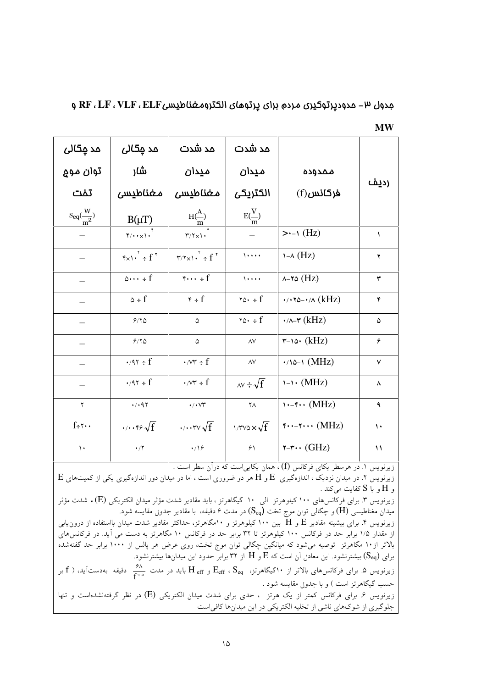| مِدول ٣- مدوديِرتوحيرن مرده براى يِرتوهاى الكترومغناطيسىRF ، LF ، VLF ، ELF و |  |  |  |
|-------------------------------------------------------------------------------|--|--|--|
|-------------------------------------------------------------------------------|--|--|--|

| مد مِگال <i>ی</i>                                            | مد مِگالی                                               | مد شدت                                                                                                                 | مد شدت                              |                                                          |               |
|--------------------------------------------------------------|---------------------------------------------------------|------------------------------------------------------------------------------------------------------------------------|-------------------------------------|----------------------------------------------------------|---------------|
| توان مو۾                                                     | شار                                                     | ميدان                                                                                                                  | میدان                               | ممدوده                                                   |               |
| تفت                                                          | مغناطيسى                                                | مغناطيسى                                                                                                               | الكتريكى                            | $(f)$ فركانس                                             | رديف          |
| $\displaystyle{{\rm S}_{\rm eq}(\frac{{\rm W}}{{\rm m}^2})}$ | $B(\mu T)$                                              | $H(\frac{A}{m})$                                                                                                       | $E(\frac{V}{m})$                    |                                                          |               |
|                                                              | $\gamma \cdot \cdot \times \cdot \cdot$                 | $\mathbf{r}/\mathbf{r} \times \mathbf{1}$                                                                              |                                     | $\rightarrow$ (Hz)                                       | ١             |
|                                                              | $\mathfrak{r}_{x1}$ , $\mathfrak{r}$ + f $\mathfrak{r}$ | $\mathbf{r}$ / $\mathbf{r}$ $\mathbf{r}$ $\mathbf{r}$ $\mathbf{r}$ $\mathbf{r}$ $\mathbf{r}$ $\mathbf{r}$ $\mathbf{r}$ | $\lambda$                           | $\lambda$ (Hz)                                           | ۲             |
|                                                              | $\circ \cdots \cdot f$                                  | $\mathbf{y} \cdots \mathbf{f}$                                                                                         | $\sqrt{1 + 1}$                      | $\lambda$ -۲۵ (Hz)                                       | ٣             |
|                                                              | $\circ$ ÷ f                                             | $\mathbf{r} \div \mathbf{f}$                                                                                           | $\forall \circ \cdot \cdot \cdot f$ | $\cdot$ / $\cdot \cdot \cdot$ / $\wedge$ (kHz)           | ۴             |
|                                                              | 9/70                                                    | ۵                                                                                                                      | $\forall \circ \cdot \cdot \cdot f$ | $\cdot$ /^-۳ (kHz)                                       | ۵             |
|                                                              | 9/70                                                    | $\Delta$                                                                                                               | $\Lambda V$                         | $\mathsf{r}\text{-}\mathsf{v}\mathsf{o}\mathsf{v}$ (kHz) | ۶             |
|                                                              | $\cdot$ /9 $\cdot$ ÷ f                                  | $\cdot$ /vr $\div$ f                                                                                                   | $\wedge \vee$                       | $\cdot$ /10-1 (MHz)                                      | $\checkmark$  |
| —                                                            | $\cdot$ /9 $\cdot$ ÷ f                                  | $\cdot$ /vr $\div$ f                                                                                                   | $\lambda v \div \sqrt{f}$           | $\cup \cdot (MHz)$                                       | ٨             |
| ٢                                                            | $\cdot$ / $\cdot$ 97                                    | $\cdot/\cdot\vee\Upsilon$                                                                                              | $\mathsf{Y}\Lambda$                 | $\cdots$ (MHz)                                           | ٩             |
| $f \div \mathbf{v}$ .                                        | $\cdots$ res $\sqrt{f}$                                 | $\cdot$ / $\cdot$ rv $\sqrt{f}$                                                                                        | $\frac{1}{T}$                       | $\mathbf{y} \cdots \mathbf{y} \cdots (\text{MHz})$       | $\mathcal{N}$ |
| $\backslash$ .                                               | $\cdot$ /٢                                              | $\cdot$ /16                                                                                                            | ۶۱                                  | $\mathsf{r}\text{-}\mathsf{r}\cdots$ (GHz)               | $\mathcal{N}$ |

**MW** 

زیرنویس ۱. در هرسطر یکای فرکانس (f) ، همان یکاییاست که درآن سطر است .

 $\rm\,E$  زیرنویس ۲. در میدان نزدیک ، اندازهگیری  $\rm\,E$  و  $\rm\,H$  هر دو ضروری است ، اما در میدان دور اندازهگیری یکی از کمیتهای و  $\rm{H}$  و یا  $\rm{S}$  کفایت میکند .

زیرنویس ۳. برای فرکانسهای ۱۰۰ کیلوهرتز الی ۱۰ گیگاهرتز ، باید مقادیر شدت مؤثر میدان الکتریکی (E) ، شدت مؤثر میدان مغناطیسی (H) و چگالی توان موج تخت (S<sub>eq</sub>) در مدت ۶ دقیقه، با مقادیر جدوں مقایسه شود.

زیرنویس ۴. برای بیشینه مقادیر  $\rm{E}$  و  $\rm{H}$  بین ۱۰۰ کیلوهرتز و ۱۰مگاهرتز، حداکثر مقادیر شدت میدان بااستفاده از درون $_{\rm{E}}$ از مقدار ۱/۵ برابر حد در فركانس ۱۰۰ كيلوهرتز تا ۳۲ برابر حد در فركانس ۱۰ مگاهرتز به دست مى آيد. در فركانس هاى بالاتر از۱۰ مگاهرتز توصیه میشود که میانگین چگالی توان موج تخت، روی عرض هر پالس از ۱۰۰۰ برابر حد گفتهشده .<br>برای (S<sub>eq</sub>) بیشترنشود. این معاد<sub>ل</sub> آن است که  $\mathrm{E}$  و  $\mathrm{H}$  از ۳۲ برابر حدود این میدانها بیشترنشود.

زیرنویس ۵. برای فرکانس۵ای بالاتر از ۱۰گیگاهرتز،  $\rm E_{eff}$  ،  $\rm S_{eq}$  و  $\rm H_{eff}$  باید در مدت  $\frac{\rm S_A}{\rm F}$  دقیقه بهدستآید، (  $\rm f$  بر حسب گیگاهرتز است ) و با جدو<sub>ل</sub> مقایسه شود . زیرنویس ۶. برای فرکانس کمتر از یک هرتز ، حدی برای شدت میدان الکتریکی (E) در نظر گرفتهنشدهاست و تنها جلوگیری از شوکهای ناشی از تخلیه الکتریکی در این میدانها کافی است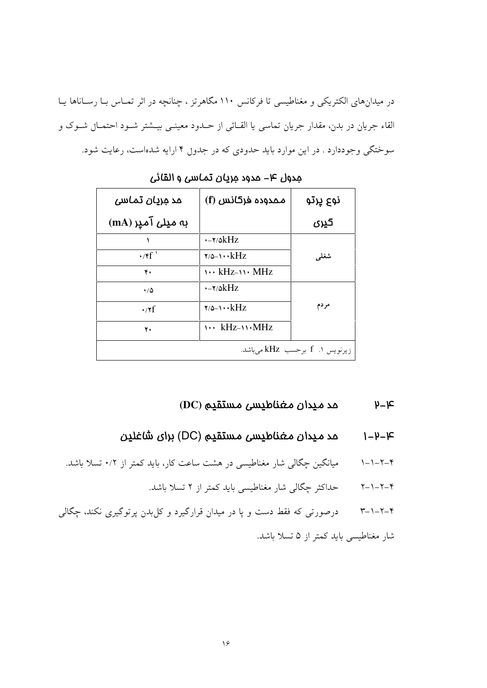در میدانهای الکتریکی و مغناطیسی تا فرکانس ۱۱۰ مگاهرتز ، چنانچه در اثر تمـاس بـا رسـاناها یـا القاء جريان در بدن، مقدار جريان تماسى يا القـائى از حـدود معينـى بيــشتر شـود احتمـال شـوک و سوختگی وجوددارد . در این موارد باید حدودی که در جدول ۴ ارایه شدهاست، رعایت شود.

| مد مریان تماسی            |                                                  | نوع پرتو                        |
|---------------------------|--------------------------------------------------|---------------------------------|
| به میل <i>ی</i> آمیر (mA) |                                                  | کپری                            |
|                           | e−۲/۵kHz                                         |                                 |
| $\cdot$ /۴f <sup>'</sup>  | $\mathbf{y}_{\mathsf{Q}-1} \cdots \mathbf{k}$ Hz | شغلمي                           |
| ۴.                        | $\cdots$ kHz- $\cdots$ MHz                       |                                 |
| $\cdot/\Delta$            | $\cdot$ - $\gamma$ / $\delta$ k $Hz$             |                                 |
| $\cdot$ /۲f               | $\mathbf{y}_{\mathsf{Q}-1} \cdots \mathbf{k}$ Hz | مردم                            |
| ٢.                        | $\cdots$ kHz- $\cdots$ MHz                       |                                 |
|                           |                                                  | زیرنویس ۱. f برحسب kHz می باشد. |

جدول ۴- مدود مريان تماسى و القائى

#### مد ميدان مغناطيسى مستقيم (DC)  $h - k$

- مد ميدان مغناطيسى مستقيم (DC) براى شاغلين  $1 - h - k$
- میانگین چگالی شار مغناطیسی در هشت ساعت کار، باید کمتر از ۰/۲ تسلا باشد.  $1 - 1 - 7 - 8$ 
	- ۴–۲–۱–۲ محداکثر حِگالی شار مغناطیسی باید کمتر از ۲ تسلا باشد.
- ۴-۲-۱-۳ می درصورتی که فقط دست و پا در میدان قرارگیرد و کل بدن پرتوگیری نکند، چگالی شار مغناطیسی باید کمتر از ۵ تسلا باشد.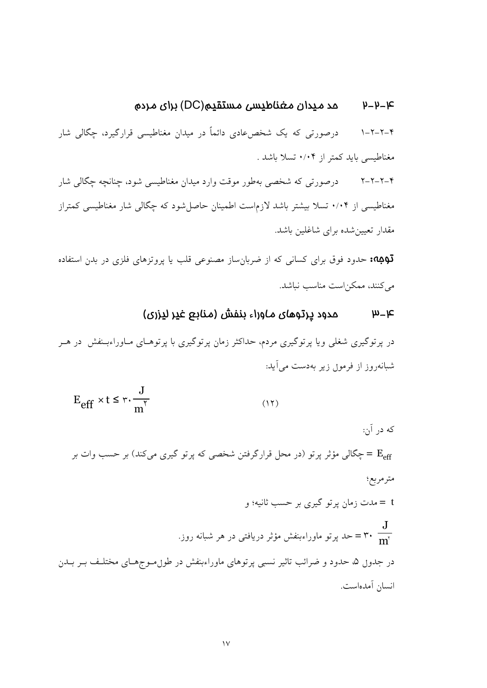#### عد ميدان مغناطيسى مستقيم(DC) براي مردم トートーに

درصورتی که یک شخصءادی دائماً در میدان مغناطیسی قرارگیرد، چگالی شار  $1 - 7 - 7 - 9$ مغناطیسی باید کمتر از ۰/۰۴ تسلا باشد .

۴–۲–۲–۲ درصورتی که شخصی بهطور موقت وارد میدان مغناطیسی شود، چنانچه چگالی شار مغناطیسی از ۰/۰۴ تسلا بیشتر باشد لازماست اطمینان حاصل شود که چگالی شار مغناطیسی کمتراز مقدار تعیین شده برای شاغلین باشد.

قوبه حدود فوق برای کسانی که از ضربان ساز مصنوعی قلب یا پروتزهای فلزی در بدن استفاده می کنند، ممکن است مناسب نباشد.

### مدود پرتوهای ماوراء بنفش (منابع غیر لیزری)  $\mu - \kappa$

در پرتوگیری شغلی ویا پرتوگیری مردم، حداکثر زمان پرتوگیری با پرتوهـای مـاوراءبـنفش در هــر شبانهروز از فرمول زیر بهدست میآید:

$$
E_{eff} \times t \le r \cdot \frac{J}{m^{\gamma}}
$$
 (17)

که در آن:

E = حِگالی مؤثر پرتو (در محل قرارگرفتن شخصی که پرتو گیری میکند) بر حسب وات بر مترمربع؛ t = مدت زمان پر تو گیری بر حسب ثانیه؛ و ک = ۳۰ = حد پرتو ماوراءبنفش مؤثر دریافتی در هر شبانه روز. $\mathbf{m}^{\text{v}}$ 

در جدون ۵، حدود و ضرائب تاثیر نسبی پرتوهای ماوراءبنفش در طون مـوجهـای مختلـف بـر بـدن انسان آمدهاست.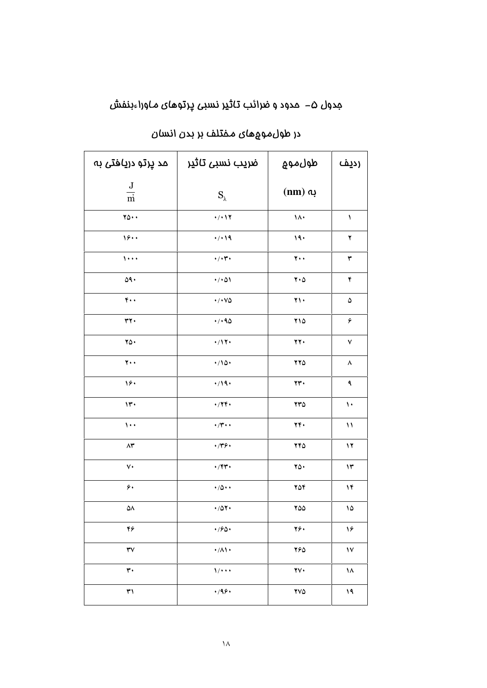# مِدول ۵– مدود و ضرائب تاثیر نسبی پرتوهای ماوراءبنفش

| مد پرتو دریافتی به                    | ضریب نسبی تاثیر                   | طول موج                       | رديف              |
|---------------------------------------|-----------------------------------|-------------------------------|-------------------|
| $\frac{\text{J}}{\text{m}}$           | $S_{\lambda}$                     | $(nm)$ به                     |                   |
| $\mathbf{Y}\mathbf{O}\cdot\mathbf{A}$ | $\cdot$ / $\cdot$ $\wedge$ $\vee$ | $\lambda$                     | ١                 |
| 19.4                                  | 4/19                              | 19.                           | ۲                 |
| $\lambda$                             | $\cdot/\cdot \tau \cdot$          | $\mathbf{y}$ .                | ٣                 |
| 09.                                   | $\cdot/\cdot$ $\circ$             | $\mathbf{Y} \cdot \mathbf{Q}$ | ۴                 |
| $\mathfrak{r}$ .                      | $\cdot$ / $\cdot$ YQ              | $\gamma \wedge$               | ۵                 |
| $rr \cdot$                            | 4/190                             | ۲۱۵                           | ۶                 |
| $\gamma_0$ .                          | $\cdot/17$                        | 77.                           | ٧                 |
| $\mathbf{y}$ .                        | $\cdot/\sqrt{2}$                  | 770                           | ٨                 |
| ۱۶۰                                   | 4/19.                             | rr.                           | ٩                 |
| $\mathsf{Y}$                          | $\cdot$ /۲۴ $\cdot$               | $rr\Delta$                    | $\mathbf{\hat{}}$ |
| $\lambda \cdot \cdot$                 | $\cdot$ /۳ $\cdot$                | ٢۴.                           | ١١                |
| $\wedge\!\star$                       | $\cdot$ /۳۶ $\cdot$               | 740                           | ۱۲                |
| ٧٠                                    | $\cdot$ /۴۳ $\cdot$               | $\mathbf{Y}\mathbf{O}$        | ۱۳                |
| ۶۰                                    | $\cdot/\Delta \cdot \cdot$        | 704                           | ١۴                |
| ۵۸                                    | $\cdot$ /07 $\cdot$               | 700                           | ۱۵                |
| ۴۶                                    | 4/90                              | ۲۶.                           | ۱۶                |
| ٣٧                                    | $\cdot/\Lambda$                   | 760                           | $\mathsf{V}$      |
| ٣٠                                    | 1/4                               | $\mathbf{Y}\mathbf{V}$        | ۱۸                |
| ٣١                                    | 4/99.                             | YVQ                           | ۱۹                |

# در طول $\mathfrak{so}$ های مـفتلف بر بدن انسان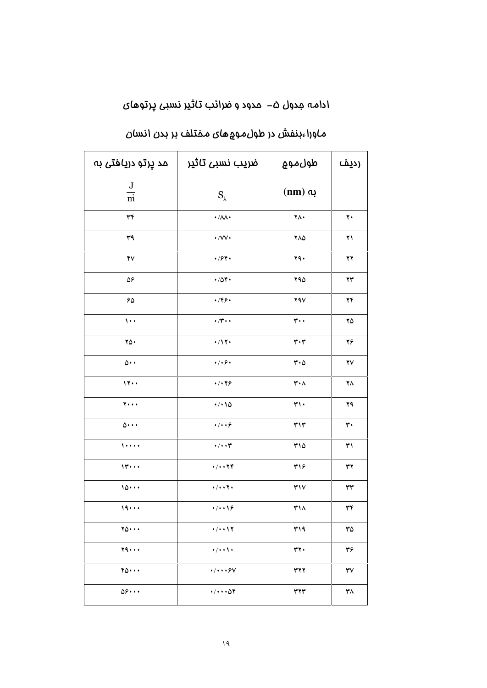# ادامه مِدول ۵– مدود و ضرائب تاثیر نسبی پرتوهای

| مد پرتو دریافت <i>ی</i> به  | ضريب نسبى تاثير                        | طول موج                       | رديف                   |
|-----------------------------|----------------------------------------|-------------------------------|------------------------|
| $\frac{\text{J}}{\text{m}}$ | $S_{\lambda}$                          | $(nm)$ به                     |                        |
| ٣۴                          | $\cdot/\lambda\lambda\cdot$            | ۲۸.                           | $\mathbf{y}$           |
| ٣٩                          | $\cdot$ / $\vee\vee\cdot$              | $Y\wedge\varphi$              | ۲۱                     |
| ۴٧                          | 4/94.                                  | 79.                           | ۲۲                     |
| ۵۶                          | $\cdot$ /04.                           | 790                           | $\mathbf{Y}\mathbf{Y}$ |
| $\mathcal{S}\Delta$         | $\cdot$ /۴۶ $\cdot$                    | $Y$ ۹ $V$                     | ۲۴                     |
| $\cdots$                    | $\cdot$ /۳ $\cdot$                     | $\mathbf{r} \cdot \cdot$      | ۲۵                     |
| $\gamma_0$ .                | $\cdot/17$                             | $\mathbf{r}\cdot\mathbf{r}$   | ۲۶                     |
| $\circ \cdot \cdot$         | $\cdot/\cdot\, \hat{\mathbf{y}}$       | $\mathbf{r} \cdot \mathbf{r}$ | $\mathbf{Y}\mathbf{V}$ |
| 11                          | 4/179                                  | $\mathbf{r} \cdot \mathbf{A}$ | ۲٨                     |
| $\overline{y}$              | 4/10                                   | $\mathbf{r}$                  | ۲۹                     |
| $\Delta \cdot \cdot \cdot$  | 4/1.9                                  | $\mathbf{r}$                  | ٣٠                     |
| $1 + 1 + 1$                 | $\cdot/\cdot\cdot \tau$                | ۳۱۵                           | ٣١                     |
| $11 + 1$                    | 4/1.179                                | ٣١۶                           | ٣٢                     |
| 10                          | $\cdot / \cdot \cdot \mathsf{Y} \cdot$ | $\mathbf{r}$                  | $\mathsf{r}\mathsf{r}$ |
| 19                          | 4/119                                  | ٣١٨                           | ٣۴                     |
| $\gamma_0 \cdots$           | 4/4.17                                 | ٣١٩                           | ٣۵                     |
| Y9                          | $\cdot/\cdot\cdot\setminus\cdot$       | ٣٢.                           | ٣۶                     |
| $r_0 \cdots$                | $\cdot/\cdot\cdot\cdot\mathcal{S}V$    | <b>٣٢٢</b>                    | $\mathsf{r}\mathsf{v}$ |
| 08                          | 4/44.09                                | $\tau\tau\tau$                | ٣٨                     |

# م)وراءبنفش در طول،موههای مـفتلف بر بدن انسان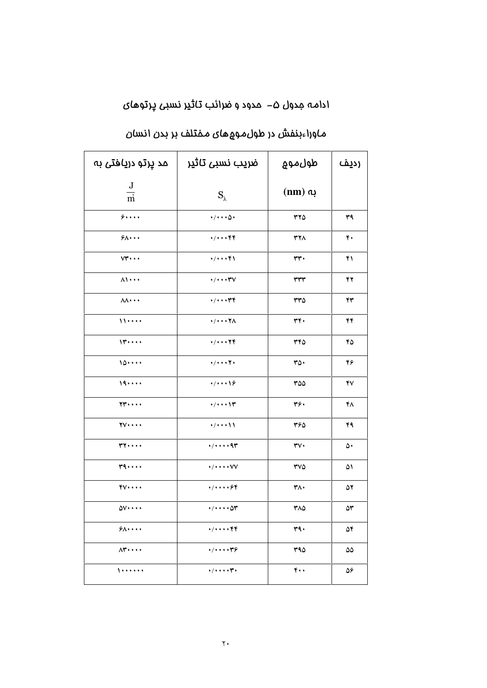# ادامه مِدول ۵– مدود و ضرائب تاثیر نسبی پرتوهای

| مد پرتو دریافت <i>ی</i> به       | ضریب نسبی تاثیر                    | طول موج                     | رديف |
|----------------------------------|------------------------------------|-----------------------------|------|
| $\frac{\text{J}}{\text{m}}$      | $S_{\lambda}$                      | $(nm)$ به                   |      |
| 5                                | $\cdot$ / $\cdot$ $\cdot$ $\circ$  | rr0                         | ٣٩   |
| $9\lambda \cdots$                | $+ / + + + +$                      | <b>٣٢٨</b>                  | ۴۰   |
| $VT \cdots$                      | $4/4 + 18$                         | rr.                         | ۴۱   |
| $\lambda \setminus \cdots$       | $\cdot/\cdot\cdot\cdot\mathsf{YV}$ | rrr                         | ۴۲   |
| $\Lambda\Lambda \cdots$          | 4/4.179                            | ۳۳۵                         | ۴۳   |
| 11                               | $\cdot/\cdot\cdot\cdot\tau$        | ٣۴۰                         | ۴۴   |
| $11 + 11$                        | 4/4.179                            | ٣۴٥                         | ۴۵   |
| 10                               | $4/4 + 17$                         | ۳۵۰                         | ۴۶   |
| 19                               | 1/1119                             | ۳۵۵                         | ۴٧   |
| $YY \cdot \cdot \cdot$           | $4/4 + 11$                         | ٣۶۰                         | ۴۸   |
| $\mathbf{y}\cdot\cdot\cdot\cdot$ | $\frac{1}{2}$                      | ۳۶۵                         | ۴۹   |
| $rr \cdots$                      | $\cdot/\cdot\cdot\cdot$ 97         | $\mathsf{r}\mathsf{v}\cdot$ | ۵۰   |
| $r_1 \ldots$                     | $\cdot/\cdot\cdot\cdot\vee\vee$    | $\mathsf{rv}\mathsf{o}$     | ۵۱   |
| $f\vee \cdots$                   | $+ / + + + +$                      | ۳۸۰                         | ۵۲   |
| 00                               | $\cdot/\cdot\cdot\cdot\Delta r$    | ۳۸۵                         | ۵٣   |
| $9\lambda \cdots$                | 4/444449                           | ٣٩.                         | ۵۴   |
| $\Lambda$ ۳                      | $+ / + + + + \gamma$               | ۳۹۵                         | ۵۵   |
| $1 + 1 + 1 + 1$                  | $4/4 + 1$                          | $\mathbf{r}$ .              | ۵۶   |

# م)وراءبنفش در طول،موههای مـفتلف بر بدن انسان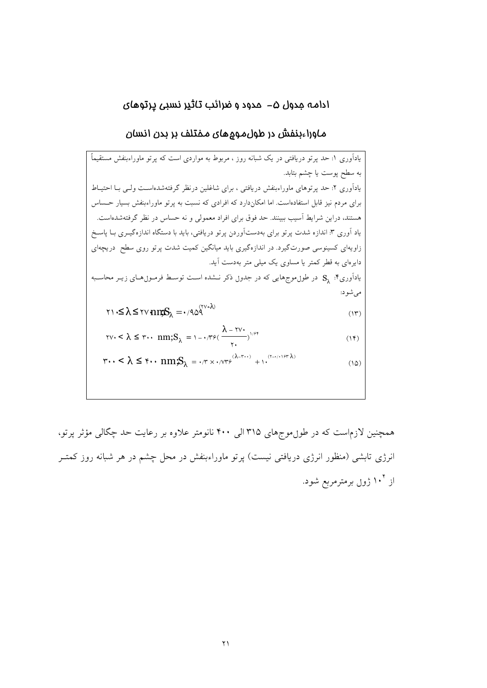## ادامه جدول ۵– مدود و ضرائب تاثیر نسبی پرتوهای

م)وراءبنفش در طول،موههای مـفتلف بر بـدن انسان

همچنین لازماست که در طول.موجهای ۳۱۵ الی ۴۰۰ نانومتر علاوه بر رعایت حد چگالی مؤثر پرتو، انرژی تابشی (منظور انرژی دریافتی نیست) پرتو ماوراءبنفش در محل چشم در هر شبانه روز کمتـر از ۱۰<sup>۴</sup> ژول برمترمربع شود.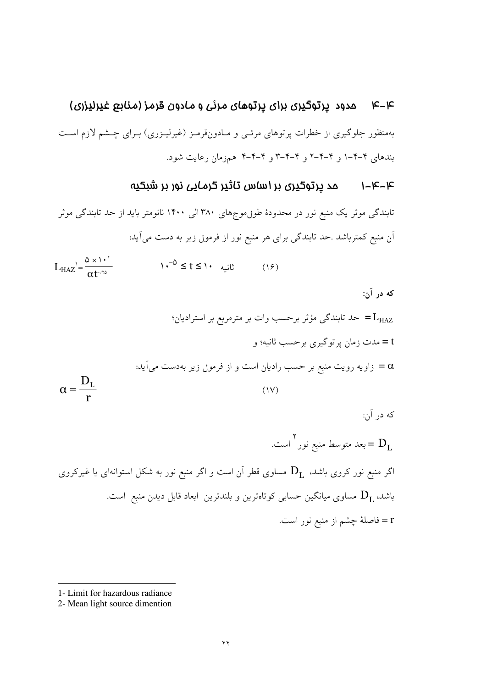#### مدود پرتوگیری برای پرتوهای مرئی و مادون قرمز (منابع غیرلیزری) トーた

بهمنظور جلوگیری از خطرات پرتوهای مرئـی و مـادونقرمـز (غیرلیـزری) بـرای چـشم لازم اسـت بندهای ۴-۴-۱ و ۴-۴-۲ و ۴-۴-۳ و ۴-۴-۴ همزمان رعایت شود.

### مد پرتوگیری پر اساس تاثیر گرمایی نور پر شبکیه  $1 - K - K$

تابندگی موثر یک منبع نور در محدودهٔ طول موجهای ۳۸۰ الی ۱۴۰۰ نانومتر باید از حد تابندگی موثر ۔<br>اَن منبع کمترباشد .حد تابندگی برای هر منبع نور از فرمول زیر به دست میآید:

 $L_{HAZ} = \frac{\Delta \times 1.44}{\Delta t^{1.15}}$  $1 - \delta \leq t \leq 1$  $(19)$ 

که در آن: = حد تابندگی مؤثر برحسب وات بر مترمربع بر استرادیان" t = مدت زمان پر تو گیری پر حسب ثانیه؛ و زاویه رویت منبع بر حسب رادیان است و از فرمول زیر بهدست میآید:  $\alpha$  $\alpha = \frac{D_L}{P}$  $(1V)$ 

که در آن: جا جعد متوسط منبع نور آست.  $\Gamma$ اگر منبع نور کروی باشد،  ${\rm D} _{{\rm L}}$  مساوی قطر آن است و اگر منبع نور به شکل استوانهای یا غیرکروی باشد،  ${\rm D} _{{\rm L}}$  مساوی میانگین حسابی کوتاهترین و بلندترین ابعاد قابل دیدن منبع است. r = فاصلهٔ چشم از منبع نور است.

<sup>1-</sup> Limit for hazardous radiance

<sup>2-</sup> Mean light source dimention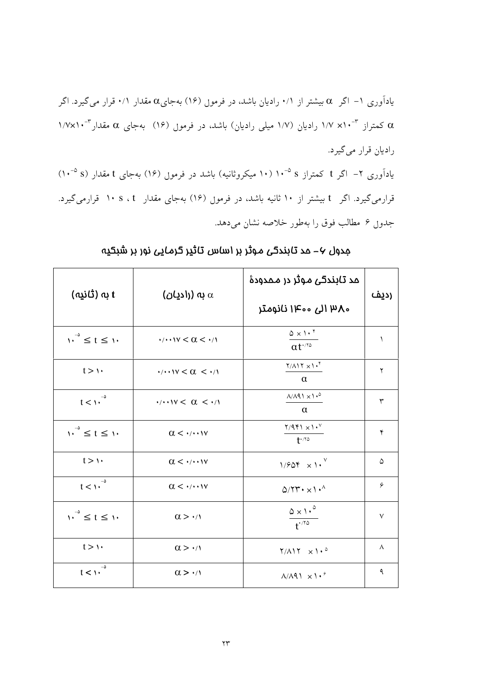یادآوری ۱– اگر  $\alpha$  بیشتر از ۰/۱ رادیان باشد، در فرمول (۱۶) بهجای $\alpha$  مقدار ۰/۱ قرار می گیرد. اگر ۱/۷×۱۰<sup>-۳</sup> ۱/۷ رادیان (۱/۷ میلی رادیان) باشد، در فرمول (۱۶) بهجای ۵ مقدار<sup>۳-۱</sup>/۷×۱ راديان قرار مي گيرد. یادآوری ۲– اگر t کمتراز s <sup>۵–</sup>۱۰ (۱۰ میکروثانیه) باشد در فرمو<sub>ل</sub> (۱۶) بهجای t مقدار (s <sup>۵–</sup>۱۰) قرارمی گیرد. اگر t بیشتر از ۱۰ ثانیه باشد، در فرمو<sub>ل</sub> (۱۶) بهجای مقدار s ، t ، ۱۰ قرارمی گیرد. جدوں ۶ مطالب فوق را بهطور خلاصه نشان میدهد.

| ( به (ثانیه) t                                      | (ادیان) $\alpha$ (بادیا                                                     | مد تابندگی موثر در ممدودهٔ<br>،۳۸ الی ۱۴۰۰ نانومتر                                      | رديف   |
|-----------------------------------------------------|-----------------------------------------------------------------------------|-----------------------------------------------------------------------------------------|--------|
| $\sqrt{1-t}$ $\leq t \leq \sqrt{1-t}$               | $\cdot$ / $\cdot$ $\cdot$ $\cdot$ $\vee$ $\lt$ $\lt$ $\lt$ $\cdot$ $\wedge$ | $0 \times 1 \cdot$ <sup>*</sup><br>$\alpha t^{\cdot/\tau_{\varphi}}$                    | ١      |
| $t > \mathcal{V}$                                   | $\cdot$ / $\cdot$ $\cdot$ $\vee$ < $\alpha$ < $\cdot$ / $\wedge$            | $Y/\Lambda$ 17 $\times$ 1. <sup>4</sup><br>$\alpha$                                     | ٢      |
| $t<\cdots$ <sup>-<math>\circ</math></sup>           | $\cdot$ / $\cdot$ $\cdot$ $\vee$ < $\alpha$ < $\cdot$ / $\wedge$            | $\Lambda/\Lambda$ 91 $\times$ 1. <sup>0</sup><br>$\alpha$                               | ٣      |
| $\left  \right  \cdot \right $ $\leq t \leq \infty$ | $\alpha < \cdot$ / $\cdot \cdot \cdot \vee$                                 | $\mathbf{Y}/\mathbf{Q}\mathbf{Y}\mathbf{1} \times \mathbf{1}\bullet ^{\vee}$<br>$+1.70$ | ۴      |
| t > 1                                               | $\alpha < \cdot$ / $\cdot \cdot \cdot \vee$                                 | $1/504 \times 1.$                                                                       | ۵      |
| $t < \sqrt{1-\frac{1}{\alpha}}$                     | $\alpha < \cdot$ / $\cdot \cdot \cdot \vee$                                 | $Q/7T \cdot x \cdot \cdot$                                                              | ۶      |
| $v^{-\delta} \leq t \leq v$                         | $\alpha > \cdot/1$                                                          | $\frac{\Delta \times 1 \cdot ^{\circ}}{t^{1/10}}$                                       | $\vee$ |
| $t > \mathcal{V}$                                   | $\alpha > \cdot/1$                                                          | $Y/\Lambda Y \times 10^{0}$                                                             | Λ      |
| $-\Delta$<br>$t \leq 1$                             | $\alpha > \cdot/1$                                                          | $\Lambda/\Lambda$ 91 $\times$ 1. <sup>8</sup>                                           | ٩      |

مدول ۶– مد تابندگی موثر بر اساس تاثیر گرمایی نور بر شبکیه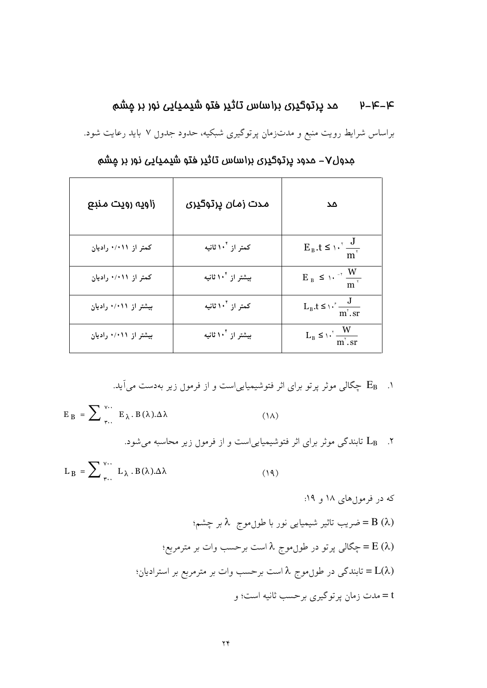براساس شرایط رویت منبع و مدتزمان پرتوگیری شبکیه، حدود جدول ۷ باید رعایت شود.

| زاویه رویت منبع       | مدت زمان پرتوگیری              | Δد                                |
|-----------------------|--------------------------------|-----------------------------------|
| کمتر از ۰/۰۱۱ رادیان  | کمتر از ۱۰ <sup>۴</sup> ثانیه  | $E_B.t \leq \sqrt{\frac{J}{m^2}}$ |
| کمتر از ۰/۰۱۱ رادیان  | بیشتر از ۱۰ <sup>۴</sup> ثانیه | $E_B \leq \frac{W}{m^{\gamma}}$   |
| بیشتر از ۰/۰۱۱ رادیان | کمتر از ۱۰ <sup>۴</sup> ثانیه  | $L_{B}.t \leq \sqrt{m^{2}/s}$     |
| بیشتر از ۰/۰۱۱ رادیان | بیشتر از ۱۰ <sup>۴</sup> ثانیه | $L_B \leq \frac{W}{m^2 \cdot ST}$ |

جدول٧– مدود پرتوگیری براساس تاثیر فتو شیمیایی نور بر مِشم

۰. E<sub>B</sub> چگالی موثر پرتو برای اثر فتوشیمیایی|ست و از فرمول زیر بهدست میآید.

$$
E_B = \sum_{r} \sum_{r} W \cdot E_{\lambda} B(\lambda) . \Delta \lambda \tag{1A}
$$

۲. L<sub>B</sub> تابندگی موثر برای اثر فتوشیمیاییاست و از فرمول زیر محاسبه میشود.

$$
L_B = \sum_{\tau \cdot \cdot}^{\nu \cdot \cdot} L_{\lambda} . B(\lambda) . \Delta \lambda \tag{14}
$$

که در فرموړهای ۱۸ و ۱۹: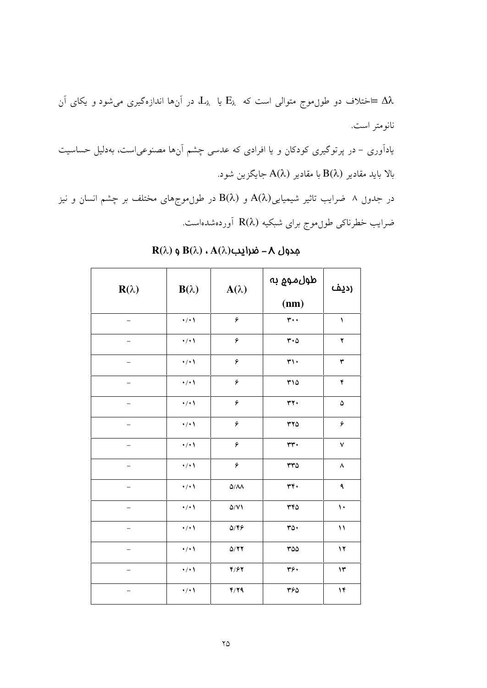ختلاف دو طول $\epsilon$ وج متوالی است که  $E_\lambda$  یا  $L_\lambda$  در آن $\epsilon$ ا اندازهگیری میشود و یکای آن $\simeq \Delta \lambda$ نانومتر است.

یاداَوری – در پرتوگیری کودکان و یا افرادی که عدسی چشم اَنها مصنوعیاست، بهدلیل حساسیت بالا باید مقادیر  $\mathrm{B}(\lambda)$  با مقادیر  $\mathrm{A}(\lambda)$  جایگزین شود.

در جدوں ۸ ضرایب تاثیر شیمیایی $A(\lambda)$  و  $B(\lambda)$  در طوںموج های مختلف بر چشم انسان و نیز ضرایب خطرناکی طول.موج برای شبکیه R(λ) أوردهشدهاست.

| $R(\lambda)$      | $B(\lambda)$    | $A(\lambda)$            | طول موج به<br>(nm)       | رديف                  |
|-------------------|-----------------|-------------------------|--------------------------|-----------------------|
| —                 | $\cdot/\cdot$ \ | ۶                       | $\mathbf{r}$ .           | $\sqrt{2}$            |
| —                 | $\cdot/\cdot$   | ۶                       | $r \cdot \Delta$         | $\mathbf{\bar{y}}$    |
|                   | $\cdot/\cdot$   | ۶                       | $\mathbf{r}\cdot$        | $\mathbf{\breve{r}}$  |
|                   | $\cdot/\cdot$   | ۶                       | $Y\setminus\vartriangle$ | ۴                     |
| -                 | $\cdot/\cdot$   | ۶                       | $rr \cdot$               | $\pmb{\Delta}$        |
|                   | $\cdot/\cdot$   | ۶                       | rr0                      | ۶                     |
|                   | $\cdot/\cdot$   | ۶                       | $rr \cdot$               | $\checkmark$          |
|                   | $\cdot/\cdot$   | ۶                       | $rr\rho$                 | $\boldsymbol{\wedge}$ |
|                   | $\cdot/\cdot$   | $\Delta/\Lambda\Lambda$ | rr.                      | ٩                     |
|                   | $\cdot/\cdot$   | $\Delta/V$              | ٣۴٥                      | $\mathbf{\hat{}}$     |
| -                 | $\cdot/\cdot$   | $Q/\mathfrak{F}$        | ro.                      | $\mathcal{N}$         |
| $\qquad \qquad -$ | $\cdot/\cdot$   | Q/YY                    | rao                      | $\mathbf{y}$          |
|                   | $\cdot/\cdot$   | $Y/\mathcal{F}Y$        | ٣۶٠                      | $\mathcal{N}$         |
| —                 | $\cdot/\cdot$   | Y/YQ                    | ٣۶۵                      | ۱۴                    |

 $\mathbf{R}(\lambda)$  محدول ۸ – ضرایب  $\mathbf{A}(\lambda)$  ،  $\mathbf{A}(\lambda)$  و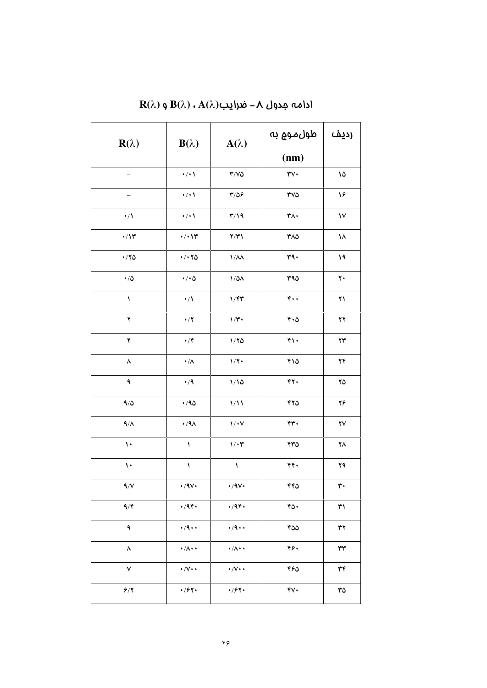| $R(\lambda)$<br>$B(\lambda)$<br>$A(\lambda)$                               | (nm)                                          |  |
|----------------------------------------------------------------------------|-----------------------------------------------|--|
|                                                                            |                                               |  |
| $\cdot/\cdot$<br>$\mathbf{Y}/\mathbf{V}\boldsymbol{\Delta}$<br>-           | $\mathsf{rv}\cdot$<br>۱۵                      |  |
| $\mathbf{r}/\mathbf{r}$<br>$\cdot/\cdot$<br>$\overline{\phantom{0}}$       | ۱۶<br>$\mathsf{rv}\mathsf{o}$                 |  |
| $\mathbf{r}/\mathbf{19}$<br>$\cdot/$<br>$\cdot/\cdot$                      | ۳۸۰<br>۱٧                                     |  |
| $\cdot/\prime$<br>$\cdot/\cdot$ \\<br>Y/Y                                  | ۳۸۵<br>۱۸                                     |  |
| $\cdot$ /۲۵<br>$\cdot$ / $\cdot$ $\tau$ $\circ$<br>$1/\lambda\lambda$      | ٣٩.<br>۱۹                                     |  |
| $\cdot$ / $\Delta$<br>$\bullet/\bullet\Delta$<br>$1/\Delta\Lambda$         | 440<br>$\mathbf{y}$                           |  |
| $\blacklozenge$<br>$\cdot/$<br>$1/\mathfrak{r}$                            | $\mathbf{r}$ .<br>۲۱                          |  |
| ۲<br>$\bullet$ / $\blacktriangledown$<br>$1/\Upsilon$                      | $\mathbf{r} \cdot \mathbf{r}$<br>$\mathbf{y}$ |  |
| ۴<br>$\bullet/\mathfrak{F}$<br>1/70                                        | $f \wedge$<br>$\mathbf{Y}\mathbf{Y}$          |  |
| ٨<br>$\boldsymbol{\cdot} / \boldsymbol{\Lambda}$<br>$1/\Upsilon$           | ٢١٥<br>24                                     |  |
| ٩<br>$\bullet$ / ٩<br>1/10                                                 | ۴۲.<br>۲۵                                     |  |
| 9/0<br>$\cdot$ /90<br>1/11                                                 | 470<br>۲۶                                     |  |
| 9/1<br>$\cdot$ /٩ $\wedge$<br>$1/\cdot V$                                  | rr.<br>$\mathbf{Y}\mathbf{V}$                 |  |
| $\mathbf{\hat{}}$<br>$1/\cdot 7$<br>١                                      | ۴٣٥<br>۲۸                                     |  |
| $\mathbf{v}$<br>$\pmb{\backslash}$<br>١                                    | ۴۴۰<br>۲۹                                     |  |
| 9/1<br>$\cdot$ /9 $\vee$<br>$\cdot$ /۹۷ $\cdot$                            | ۴۴۵<br>٣٠                                     |  |
| 9/5<br>$\cdot$ /94.<br>$\cdot$ /94.                                        | ۴۵۰<br>٣١                                     |  |
| ٩<br>$\cdot$ /9 $\cdot$ $\cdot$<br>$\cdot$ /9 $\cdot$ $\cdot$              | ۴۵۵<br>٣٢                                     |  |
| $\pmb{\wedge}$<br>$\cdot/\Lambda \cdot \cdot$<br>$\cdot/\Lambda\cdot\cdot$ | ۴۶۰<br>٣٣                                     |  |
| ٧<br>$\cdot/\vee\cdot\cdot$<br>$\cdot/\mathsf{V}\cdot\cdot$                | ٣۴<br>۴۶۵                                     |  |
| 4/84<br>9/7<br>4/94.                                                       | $\gamma$<br>$\tau\varphi$                     |  |

 $\mathbf{R}(\lambda)$  دامه مدول ۸ – ضرایب $\mathbf{A}(\lambda)$  ،  $\mathbf{A}(\lambda)$  و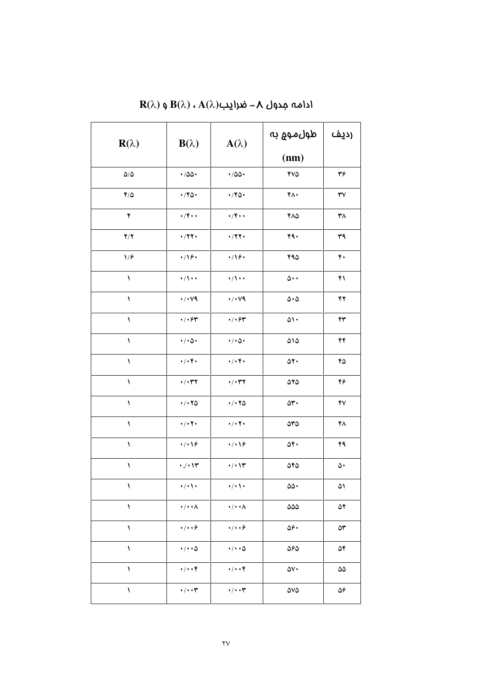| $R(\lambda)$       | $B(\lambda)$                     | $A(\lambda)$                     | طول موج به                 | رديف                   |
|--------------------|----------------------------------|----------------------------------|----------------------------|------------------------|
|                    |                                  |                                  | (nm)                       |                        |
| $\Delta/\Delta$    | $\cdot$ /00 $\cdot$              | $\cdot$ /00 $\cdot$              | <b>YVQ</b>                 | ٣۶                     |
| 4/0                | $\cdot$ /۴۵ $\cdot$              | $\cdot$ /۴۵ $\cdot$              | ۴۸۰                        | $\mathbf{Y}\mathbf{V}$ |
| ۴                  | $\cdot$ /۴ $\cdot$               | $\cdot$ /۴ $\cdot$               | ۴۸۵                        | ٣٨                     |
| Y/Y                | $\cdot$ /۲۲ $\cdot$              | $\cdot$ /۲۲ $\cdot$              | 49.                        | ٣٩                     |
| 1/9                | $\cdot / \sqrt{2}$               | 4/19.                            | 490                        | ۴٠                     |
| ١                  | $\cdot/\rangle \cdot \cdot$      | $\cdot/\wedge\cdot\cdot$         | $\Delta \cdot \cdot$       | ۴۱                     |
| $\lambda$          | $\cdot$ / $\cdot$ vq             | $\cdot$ / $\cdot$ vq             | $\Delta \cdot \Delta$      | ۴۲                     |
| $\lambda$          | 4/494                            | $\cdot/\cdot$ ۶۳                 | $\omega \cdot$             | ۴۳                     |
| $\lambda$          | $\cdot/\cdot \Delta \cdot$       | $\cdot/\cdot \Delta \cdot$       | $\Delta \backslash \Delta$ | ۴۴                     |
| $\lambda$          | $\cdot/\cdot$ ۴۰                 | $\cdot/\cdot$ ۴۰                 | $\Delta Y \cdot$           | ۴۵                     |
| ١                  | $\cdot/\cdot$ ۳۲                 | $\cdot$ / $\cdot$ ۳۲             | 070                        | ۴۶                     |
| ١                  | $\cdot$ / $\cdot$ $\tau$ $\circ$ | $\cdot$ / $\cdot$ $\tau$ $\circ$ | $\delta r$ .               | ۴٧                     |
| ١                  | $\cdot/\cdot$ $\mathbf{Y}$       | $\cdot/\cdot$ Y $\cdot$          | $\Delta r \Delta$          | ۴۸                     |
| ١                  | 4/19                             | 4/19                             | $\Delta f$                 | ۴۹                     |
| $\pmb{\backslash}$ | $\cdot$ / $\cdot$ / $\tau$       | $\cdot/\cdot$ \r                 | 040                        | ۵۰                     |
| ١                  | $\cdot/\cdot$ \ $\cdot$          | $\cdot/\cdot$ \ $\cdot$          | $\omega \cdot$             | ۵۱                     |
| ١                  | $\cdot/\cdot\cdot\wedge$         | $\cdot/\cdot\cdot\wedge$         | ۵۵۵                        | ۵۲                     |
| ١                  | $\cdot/\cdot\cdot$ ۶             | $\cdot/\cdot\cdot$ ۶             | ۵۶۰                        | ۵٣                     |
| ١                  | $\cdot/\cdot\cdot\Delta$         | $\cdot/\cdot\cdot\Delta$         | ۵۶۵                        | ۵۴                     |
| ١                  | $\cdot/\cdot\cdot f$             | $\cdot/\cdot\cdot$ ۴             | ۵۷۰                        | $\Delta\Delta$         |
| ١                  | $\cdot/\cdot\cdot \tau$          | $\cdot/\cdot\cdot\tau$           | 0 <sub>N</sub>             | ۵۶                     |

 $\mathbf{R}(\lambda)$  دامه مدول ۸ – ضرایب $\mathbf{A}(\lambda)$  ،  $\mathbf{A}(\lambda)$  و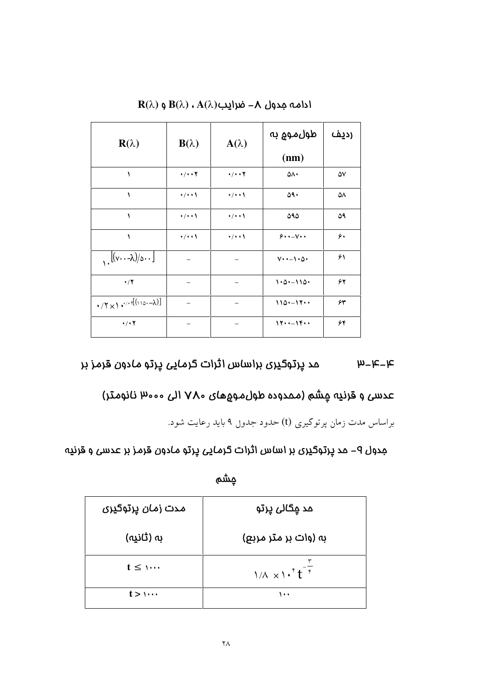| $\mathbf{R}(\lambda)$                                                | $B(\lambda)$         | $A(\lambda)$                     | طول موم به                     | رديف |
|----------------------------------------------------------------------|----------------------|----------------------------------|--------------------------------|------|
|                                                                      |                      |                                  | (nm)                           |      |
| ١                                                                    | $\cdot/\cdot\cdot$ Y | $\cdot$ / $\cdot$ $\cdot$ $\tau$ | ۵۸۰                            | ۵٧   |
| ١                                                                    | $\cdot$ / $\cdot$    | $\cdot$ / $\cdot$                | ۵۹۰                            | ۵۸   |
| $\lambda$                                                            | $\cdot/\cdot\cdot$   | $\cdot$ / $\cdot$                | ۵۹۵                            | ۵۹   |
| ١                                                                    | $\cdot$ / $\cdot$    | $\cdot$ / $\cdot$                | $9 \cdot \cdot -1 \cdot \cdot$ | ۶۰   |
| $\left[\left(\mathsf{v}\cdots\lambda\right)/\mathsf{v}\cdots\right]$ |                      |                                  | $V \cdot - \cdot \Delta$       | ۶۱   |
| $\cdot/7$                                                            |                      |                                  | $1.0 - 110.$                   | ۶۲   |
|                                                                      |                      |                                  | $110 - 17$                     | ۶۳   |
| $\cdot$ / $\cdot$ $\cdot$                                            |                      |                                  | 1715                           | ۶۴   |

 $\mathbf{R}(\lambda)$  دامه مدول ۸ – ضرایب $\mathbf{A}(\lambda)$  ،  $\mathbf{A}(\lambda)$  و

مد پرتوگیری براس*ا*س اثرات گرمایی پرتو مادون قرمز بر  $\mu$ - $k$ - $k$ 

عدسی و قرنیه چشم (مـمدوده طول $\lambda$ موهـای ۷۸۰ الی ۱۳۰۰۰ نانومـتر)

براساس مدت زمان پرتوگیری (t) حدود جدو<sub>ل</sub> ۹ باید رعایت شود.

مِدول ۹– مد پرتوگیری بر اساس اثرات گرمایی پرتو مادون قرمز بر عدسی و قرنیه

مٍشَم

| مدت ز <i>مان</i> پرتوگیری | مد <u>م</u> گال <i>ی</i> پرتو                     |
|---------------------------|---------------------------------------------------|
| به (ثانیه)                | به (وات بر متر مربع)                              |
| $t \leq$ $\cdots$         | $1/\lambda \times 1 \cdot 1^{2} t^{-\frac{1}{r}}$ |
| $t > 1$                   | ۰۰۱                                               |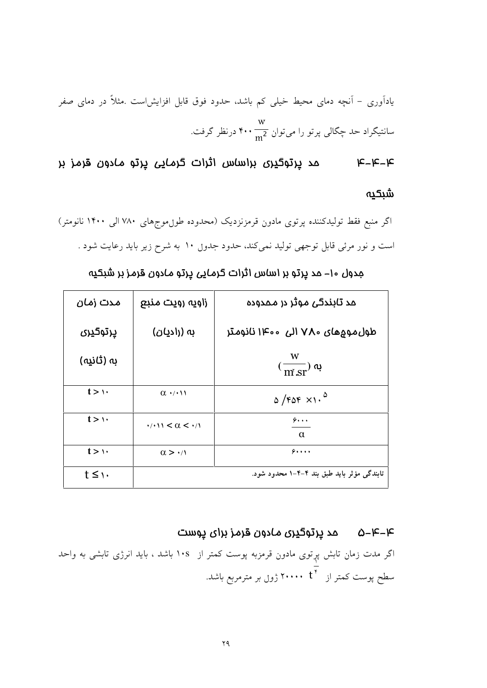یادآوری – آنچه دمای محیط خیلی کم باشد، حدود فوق قابل افزایشاست .مثلاً در دمای صفر سانتیگراد حد چگالی پرتو را میتوان  $\frac{\text{w}}{\text{m}^2}$  ۰۰۰ درنظر گرفت.

مد پرتوگیری براساس اثرات گرمایی پرتو مادون قرمز بر  $k-k-k$ شىكىە

اگر منبع فقط تولیدکننده پرتوی مادون قرمزنزدیک (محدوده طول،وجهای ۷۸۰ الی ۱۴۰۰ نانومتر) است و نور مرئی قابل توجهی تولید نمیکند، حدود جدول ۱۰ به شرح زیر باید رعایت شود .

| مدت زمان          | زاویہ رویت منبع                              | مد تابندگی موثر در ممدوده                          |
|-------------------|----------------------------------------------|----------------------------------------------------|
| ڀرتوگڀري          | به (رادیان)                                  | طول مومِهای ۷۸۰ الی ۱۴۰۰ نانومتر                   |
| به (ثانیه)        |                                              | W<br>$(\overline{\text{m}^{\prime} \text{sr}})$ به |
| $t > \vee$        | $\alpha \cdot \prime \cdot \prime \prime$    | $\sigma$ /FOF $\times$ 1. <sup>0</sup>             |
| $t > \cdots$      | $\cdot$ / $\cdot$ 11 < $\alpha$ < $\cdot$ /1 | $\hat{\mathbf{z}}$<br>$\alpha$                     |
| $t > \vee$        | $\alpha > \cdot$                             | 9                                                  |
| $t \leq \gamma$ . |                                              | تابندگی مؤثر باید طبق بند ۴-۴-۱ محدود شود.         |

مدول ۱۰– مد پرتو بر اس*ا*س اثرات گر*ما*یی پرتو *ما*دون قرمز بر شبکیه

# ۴–۴–۵ مد پرتوگیری مادون قرمز برای پوست

اگر مدت زمان تابش پړتوی مادون قرمزبه پوست کمتر از ۱۰s باشد ، باید انرژی تابشی به واحد سطح پوست کمتر از مق $\overline{\mathfrak{t}^*}$  ۲۰۰۰۰ ژوڼ بر مترمربع باشد.